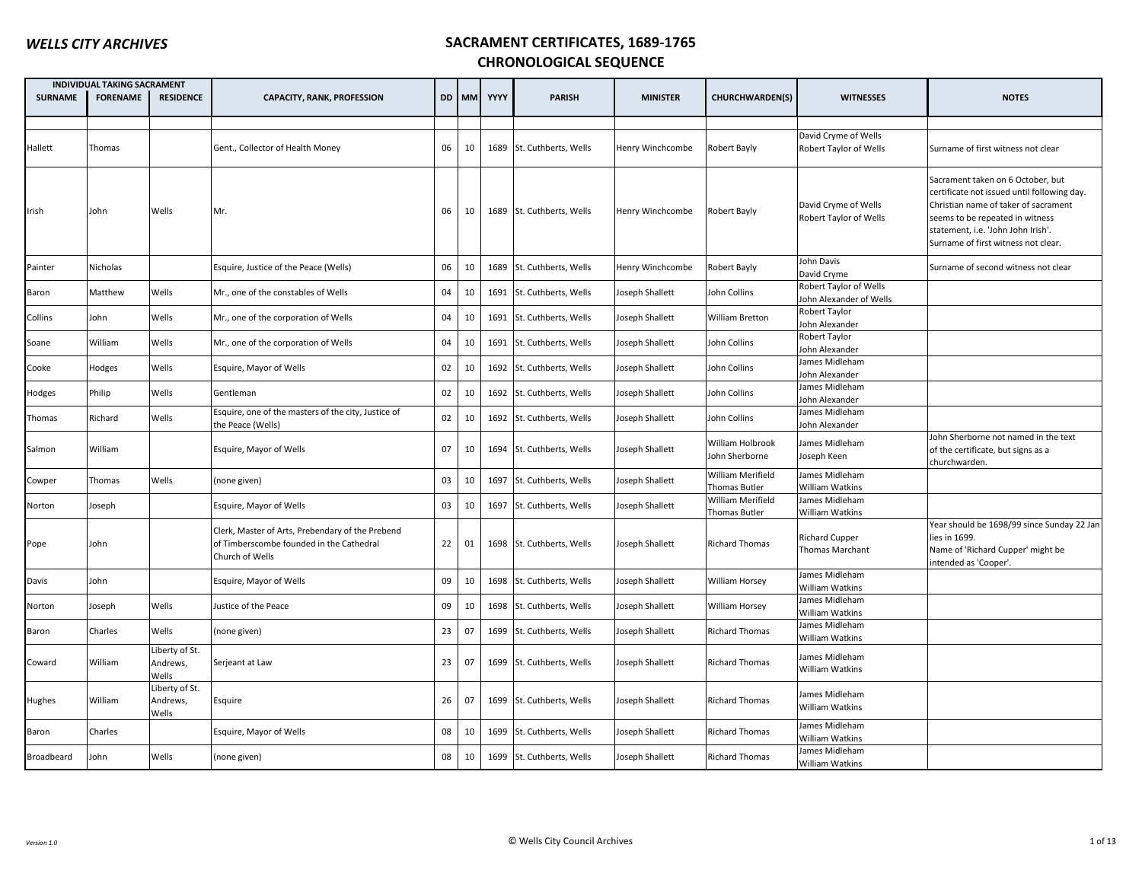|                | <b>INDIVIDUAL TAKING SACRAMENT</b> |                                     |                                                                                                                 |    |          |      |                           |                  |                                    |                                                   |                                                                                                                                                                                                                                          |
|----------------|------------------------------------|-------------------------------------|-----------------------------------------------------------------------------------------------------------------|----|----------|------|---------------------------|------------------|------------------------------------|---------------------------------------------------|------------------------------------------------------------------------------------------------------------------------------------------------------------------------------------------------------------------------------------------|
| <b>SURNAME</b> | <b>FORENAME</b>                    | <b>RESIDENCE</b>                    | <b>CAPACITY, RANK, PROFESSION</b>                                                                               |    | DD I MMI | YYYY | <b>PARISH</b>             | <b>MINISTER</b>  | <b>CHURCHWARDEN(S)</b>             | <b>WITNESSES</b>                                  | <b>NOTES</b>                                                                                                                                                                                                                             |
|                |                                    |                                     |                                                                                                                 |    |          |      |                           |                  |                                    |                                                   |                                                                                                                                                                                                                                          |
| Hallett        | Thomas                             |                                     | Gent., Collector of Health Money                                                                                | 06 | 10       |      | 1689 St. Cuthberts, Wells | Henry Winchcombe | Robert Bayly                       | David Cryme of Wells<br>Robert Taylor of Wells    | Surname of first witness not clear                                                                                                                                                                                                       |
| Irish          | John                               | Wells                               | Mr.                                                                                                             | 06 | 10       |      | 1689 St. Cuthberts, Wells | Henry Winchcombe | Robert Bayly                       | David Cryme of Wells<br>Robert Taylor of Wells    | Sacrament taken on 6 October, but<br>certificate not issued until following day.<br>Christian name of taker of sacrament<br>seems to be repeated in witness<br>statement, i.e. 'John John Irish'.<br>Surname of first witness not clear. |
| Painter        | Nicholas                           |                                     | Esquire, Justice of the Peace (Wells)                                                                           | 06 | 10       | 1689 | St. Cuthberts, Wells      | Henry Winchcombe | Robert Bayly                       | John Davis<br>David Cryme                         | Surname of second witness not clear                                                                                                                                                                                                      |
| Baron          | Matthew                            | Wells                               | Mr., one of the constables of Wells                                                                             | 04 | 10       | 1691 | St. Cuthberts, Wells      | Joseph Shallett  | Iohn Collins                       | Robert Taylor of Wells<br>John Alexander of Wells |                                                                                                                                                                                                                                          |
| Collins        | John                               | Wells                               | Mr., one of the corporation of Wells                                                                            | 04 | 10       | 1691 | St. Cuthberts, Wells      | Joseph Shallett  | William Bretton                    | Robert Taylor<br>John Alexander                   |                                                                                                                                                                                                                                          |
| Soane          | William                            | Wells                               | Mr., one of the corporation of Wells                                                                            | 04 | 10       | 1691 | St. Cuthberts, Wells      | Joseph Shallett  | John Collins                       | Robert Taylor<br>John Alexander                   |                                                                                                                                                                                                                                          |
| Cooke          | Hodges                             | Wells                               | Esquire, Mayor of Wells                                                                                         | 02 | 10       | 1692 | St. Cuthberts, Wells      | Joseph Shallett  | John Collins                       | James Midleham<br>John Alexander                  |                                                                                                                                                                                                                                          |
| Hodges         | Philip                             | Wells                               | Gentleman                                                                                                       | 02 | 10       | 1692 | St. Cuthberts, Wells      | Joseph Shallett  | John Collins                       | James Midleham<br>John Alexander                  |                                                                                                                                                                                                                                          |
| Thomas         | Richard                            | Wells                               | Esquire, one of the masters of the city, Justice of<br>the Peace (Wells)                                        | 02 | 10       |      | 1692 St. Cuthberts, Wells | Joseph Shallett  | John Collins                       | James Midleham<br>John Alexander                  |                                                                                                                                                                                                                                          |
| Salmon         | William                            |                                     | Esquire, Mayor of Wells                                                                                         | 07 | 10       |      | 1694 St. Cuthberts, Wells | Joseph Shallett  | William Holbrook<br>John Sherborne | James Midleham<br>Joseph Keen                     | John Sherborne not named in the text<br>of the certificate, but signs as a<br>churchwarden.                                                                                                                                              |
| Cowper         | Thomas                             | Wells                               | (none given)                                                                                                    | 03 | 10       | 1697 | St. Cuthberts, Wells      | Joseph Shallett  | William Merifield<br>Thomas Butler | James Midleham<br><b>William Watkins</b>          |                                                                                                                                                                                                                                          |
| Norton         | Joseph                             |                                     | Esquire, Mayor of Wells                                                                                         | 03 | 10       | 1697 | St. Cuthberts, Wells      | Joseph Shallett  | William Merifield<br>Thomas Butler | James Midleham<br><b>William Watkins</b>          |                                                                                                                                                                                                                                          |
| Pope           | John                               |                                     | Clerk, Master of Arts, Prebendary of the Prebend<br>of Timberscombe founded in the Cathedral<br>Church of Wells | 22 | 01       |      | 1698 St. Cuthberts, Wells | Joseph Shallett  | <b>Richard Thomas</b>              | <b>Richard Cupper</b><br>Thomas Marchant          | Year should be 1698/99 since Sunday 22 Jan<br>ies in 1699.<br>Name of 'Richard Cupper' might be<br>intended as 'Cooper'.                                                                                                                 |
| Davis          | John                               |                                     | Esquire, Mayor of Wells                                                                                         | 09 | 10       |      | 1698 St. Cuthberts, Wells | Joseph Shallett  | William Horsey                     | James Midleham<br>William Watkins                 |                                                                                                                                                                                                                                          |
| Norton         | Joseph                             | Wells                               | Justice of the Peace                                                                                            | 09 | 10       | 1698 | St. Cuthberts, Wells      | Joseph Shallett  | William Horsey                     | James Midleham<br>William Watkins                 |                                                                                                                                                                                                                                          |
| Baron          | Charles                            | Wells                               | (none given)                                                                                                    | 23 | 07       | 1699 | St. Cuthberts, Wells      | Joseph Shallett  | <b>Richard Thomas</b>              | James Midleham<br>William Watkins                 |                                                                                                                                                                                                                                          |
| Coward         | William                            | Liberty of St.<br>Andrews,<br>Wells | Serjeant at Law                                                                                                 | 23 | 07       |      | 1699 St. Cuthberts, Wells | Joseph Shallett  | Richard Thomas                     | James Midleham<br><b>William Watkins</b>          |                                                                                                                                                                                                                                          |
| Hughes         | William                            | Liberty of St.<br>Andrews,<br>Wells | Esquire                                                                                                         | 26 | 07       |      | 1699 St. Cuthberts, Wells | Joseph Shallett  | <b>Richard Thomas</b>              | James Midleham<br><b>William Watkins</b>          |                                                                                                                                                                                                                                          |
| Baron          | Charles                            |                                     | Esquire, Mayor of Wells                                                                                         | 08 | 10       | 1699 | St. Cuthberts, Wells      | Joseph Shallett  | <b>Richard Thomas</b>              | James Midleham<br><b>William Watkins</b>          |                                                                                                                                                                                                                                          |
| Broadbeard     | John                               | Wells                               | (none given)                                                                                                    | 08 | 10       |      | 1699 St. Cuthberts, Wells | Joseph Shallett  | <b>Richard Thomas</b>              | James Midleham<br>William Watkins                 |                                                                                                                                                                                                                                          |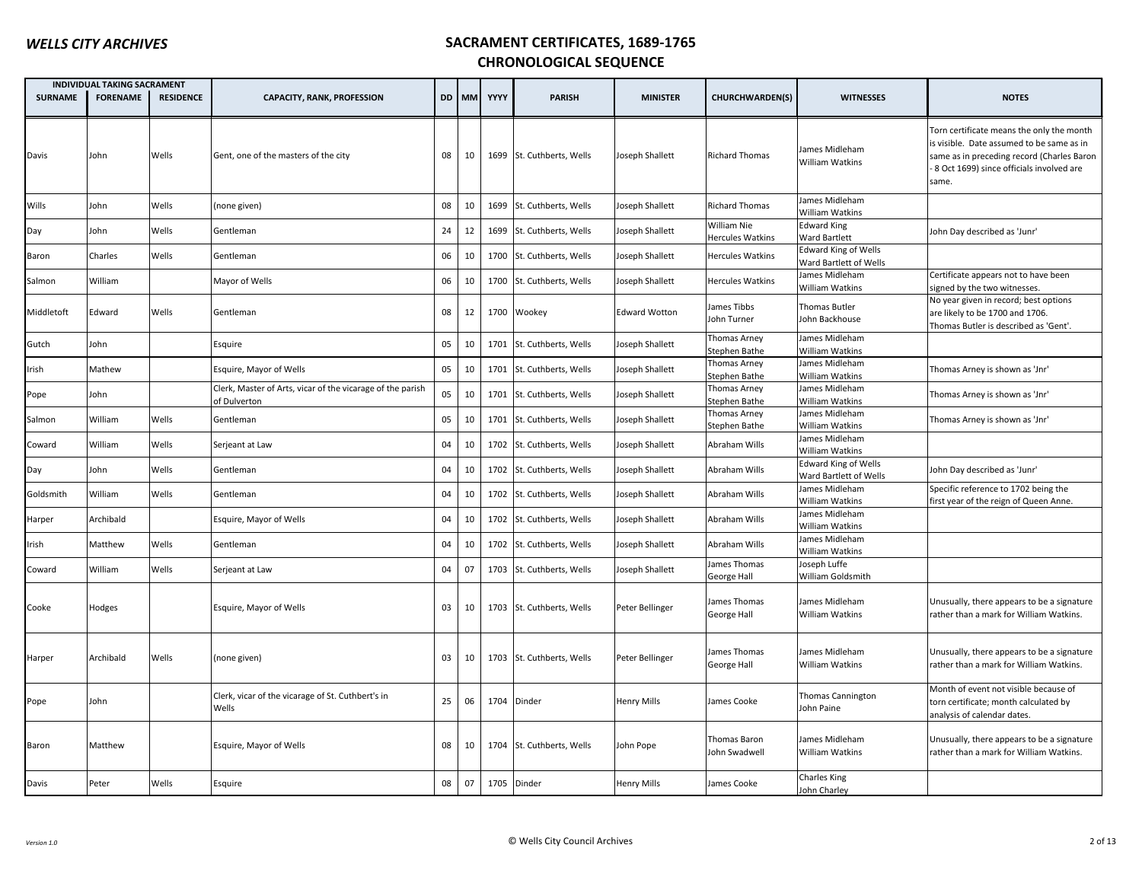|                | <b>INDIVIDUAL TAKING SACRAMENT</b> |                  |                                                                            |    |       |      |                           |                      |                                        |                                                       |                                                                                                                                                                                           |
|----------------|------------------------------------|------------------|----------------------------------------------------------------------------|----|-------|------|---------------------------|----------------------|----------------------------------------|-------------------------------------------------------|-------------------------------------------------------------------------------------------------------------------------------------------------------------------------------------------|
| <b>SURNAME</b> | <b>FORENAME</b>                    | <b>RESIDENCE</b> | <b>CAPACITY, RANK, PROFESSION</b>                                          |    | DD MM | YYYY | <b>PARISH</b>             | <b>MINISTER</b>      | <b>CHURCHWARDEN(S)</b>                 | <b>WITNESSES</b>                                      | <b>NOTES</b>                                                                                                                                                                              |
| Davis          | John                               | Wells            | Gent, one of the masters of the city                                       | 08 | 10    |      | 1699 St. Cuthberts, Wells | Joseph Shallett      | <b>Richard Thomas</b>                  | James Midleham<br>William Watkins                     | Torn certificate means the only the month<br>is visible. Date assumed to be same as in<br>same as in preceding record (Charles Baron<br>8 Oct 1699) since officials involved are<br>same. |
| Wills          | John                               | Wells            | (none given)                                                               | 08 | 10    |      | 1699 St. Cuthberts, Wells | Joseph Shallett      | <b>Richard Thomas</b>                  | James Midleham<br>William Watkins                     |                                                                                                                                                                                           |
| Day            | John                               | Wells            | Gentleman                                                                  | 24 | 12    |      | 1699 St. Cuthberts, Wells | Joseph Shallett      | William Nie<br><b>Hercules Watkins</b> | <b>Edward King</b><br><b>Ward Bartlett</b>            | John Day described as 'Junr'                                                                                                                                                              |
| Baron          | Charles                            | Wells            | Gentleman                                                                  | 06 | 10    |      | 1700 St. Cuthberts, Wells | Joseph Shallett      | <b>Hercules Watkins</b>                | <b>Edward King of Wells</b><br>Ward Bartlett of Wells |                                                                                                                                                                                           |
| Salmon         | William                            |                  | Mayor of Wells                                                             | 06 | 10    |      | 1700 St. Cuthberts, Wells | Joseph Shallett      | <b>Hercules Watkins</b>                | James Midleham<br>William Watkins                     | Certificate appears not to have been<br>signed by the two witnesses.                                                                                                                      |
| Middletoft     | Edward                             | Wells            | Gentleman                                                                  | 08 | 12    |      | 1700 Wookey               | <b>Edward Wotton</b> | James Tibbs<br>John Turner             | Thomas Butler<br>John Backhouse                       | No year given in record; best options<br>are likely to be 1700 and 1706.<br>Thomas Butler is described as 'Gent'.                                                                         |
| Gutch          | John                               |                  | Esquire                                                                    | 05 | 10    |      | 1701 St. Cuthberts, Wells | Joseph Shallett      | Thomas Arney<br>Stephen Bathe          | James Midleham<br>William Watkins                     |                                                                                                                                                                                           |
| Irish          | Mathew                             |                  | Esquire, Mayor of Wells                                                    | 05 | 10    |      | 1701 St. Cuthberts, Wells | Joseph Shallett      | Thomas Arney<br>Stephen Bathe          | James Midleham<br>William Watkins                     | Thomas Arney is shown as 'Jnr'                                                                                                                                                            |
| Pope           | John                               |                  | Clerk, Master of Arts, vicar of the vicarage of the parish<br>of Dulverton | 05 | 10    |      | 1701 St. Cuthberts, Wells | Joseph Shallett      | Thomas Arney<br>Stephen Bathe          | James Midleham<br>William Watkins                     | Thomas Arney is shown as 'Jnr'                                                                                                                                                            |
| Salmon         | William                            | Wells            | Gentleman                                                                  | 05 | 10    |      | 1701 St. Cuthberts, Wells | Joseph Shallett      | Thomas Arney<br>Stephen Bathe          | James Midleham<br>William Watkins                     | Thomas Arney is shown as 'Jnr'                                                                                                                                                            |
| Coward         | William                            | Wells            | Serjeant at Law                                                            | 04 | 10    |      | 1702 St. Cuthberts, Wells | Joseph Shallett      | Abraham Wills                          | James Midleham<br>William Watkins                     |                                                                                                                                                                                           |
| Day            | John                               | Wells            | Gentleman                                                                  | 04 | 10    | 1702 | St. Cuthberts, Wells      | Joseph Shallett      | Abraham Wills                          | <b>Edward King of Wells</b><br>Ward Bartlett of Wells | John Day described as 'Junr'                                                                                                                                                              |
| Goldsmith      | William                            | Wells            | Gentleman                                                                  | 04 | 10    |      | 1702 St. Cuthberts, Wells | Joseph Shallett      | Abraham Wills                          | James Midleham<br>William Watkins                     | Specific reference to 1702 being the<br>first year of the reign of Queen Anne.                                                                                                            |
| Harper         | Archibald                          |                  | Esquire, Mayor of Wells                                                    | 04 | 10    |      | 1702 St. Cuthberts, Wells | Joseph Shallett      | Abraham Wills                          | James Midleham<br>William Watkins                     |                                                                                                                                                                                           |
| Irish          | Matthew                            | Wells            | Gentleman                                                                  | 04 | 10    |      | 1702 St. Cuthberts, Wells | Joseph Shallett      | Abraham Wills                          | James Midleham<br>William Watkins                     |                                                                                                                                                                                           |
| Coward         | William                            | Wells            | Serjeant at Law                                                            | 04 | 07    |      | 1703 St. Cuthberts, Wells | Joseph Shallett      | James Thomas<br>George Hall            | Joseph Luffe<br>William Goldsmith                     |                                                                                                                                                                                           |
| Cooke          | Hodges                             |                  | Esquire, Mayor of Wells                                                    | 03 | 10    |      | 1703 St. Cuthberts, Wells | Peter Bellinger      | James Thomas<br>George Hall            | James Midleham<br><b>William Watkins</b>              | Unusually, there appears to be a signature<br>rather than a mark for William Watkins.                                                                                                     |
| Harper         | Archibald                          | Wells            | (none given)                                                               | 03 | 10    |      | 1703 St. Cuthberts, Wells | Peter Bellinger      | James Thomas<br>George Hall            | James Midleham<br><b>William Watkins</b>              | Unusually, there appears to be a signature<br>rather than a mark for William Watkins.                                                                                                     |
| Pope           | John                               |                  | Clerk, vicar of the vicarage of St. Cuthbert's in<br>Wells                 | 25 | 06    |      | 1704 Dinder               | <b>Henry Mills</b>   | James Cooke                            | <b>Thomas Cannington</b><br>John Paine                | Month of event not visible because of<br>torn certificate; month calculated by<br>analysis of calendar dates.                                                                             |
| Baron          | Matthew                            |                  | Esquire, Mayor of Wells                                                    | 08 | 10    |      | 1704 St. Cuthberts, Wells | John Pope            | Thomas Baron<br>John Swadwell          | James Midleham<br>William Watkins                     | Unusually, there appears to be a signature<br>rather than a mark for William Watkins.                                                                                                     |
| Davis          | Peter                              | Wells            | Esquire                                                                    | 08 | 07    |      | 1705 Dinder               | <b>Henry Mills</b>   | James Cooke                            | <b>Charles King</b><br>John Charley                   |                                                                                                                                                                                           |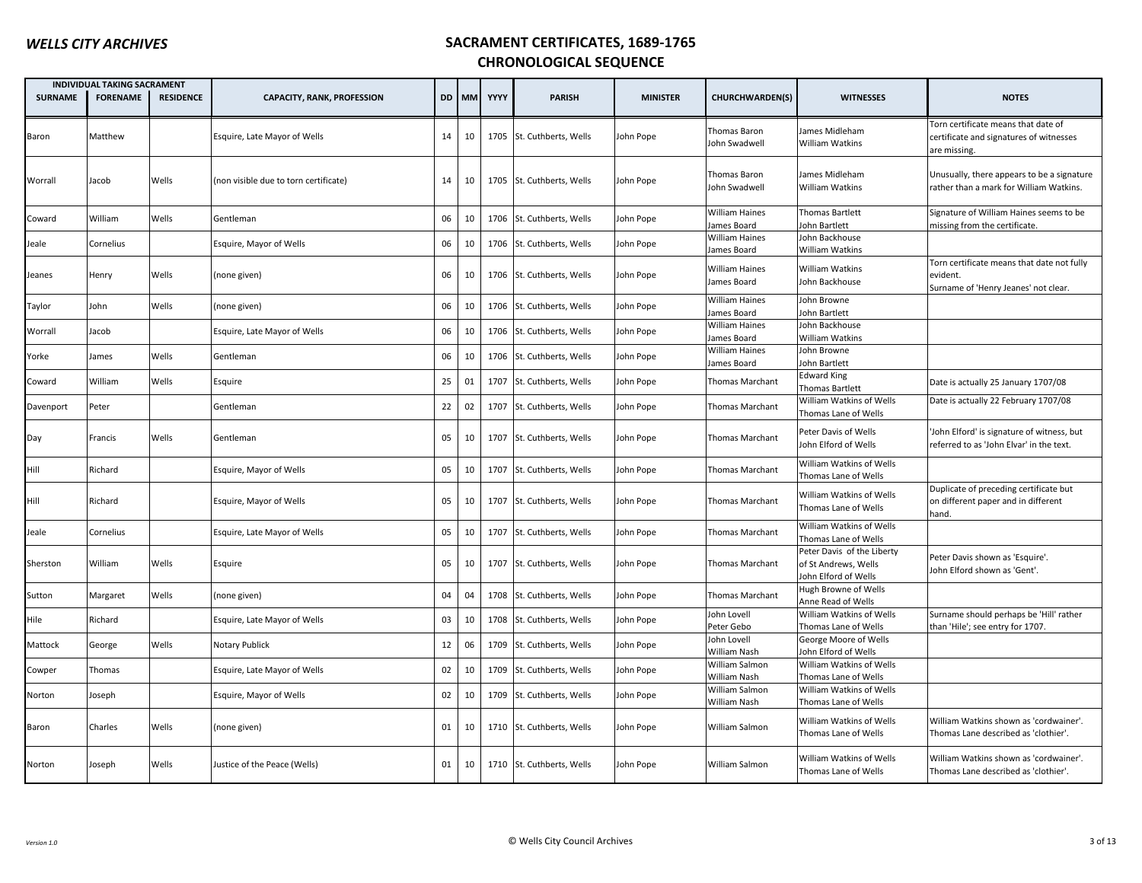|                | INDIVIDUAL TAKING SACRAMENT |                  |                                       |    |       |      |                           |                 |                                      |                                                                            |                                                                                                |
|----------------|-----------------------------|------------------|---------------------------------------|----|-------|------|---------------------------|-----------------|--------------------------------------|----------------------------------------------------------------------------|------------------------------------------------------------------------------------------------|
| <b>SURNAME</b> | <b>FORENAME</b>             | <b>RESIDENCE</b> | <b>CAPACITY, RANK, PROFESSION</b>     |    | DD MM | YYYY | <b>PARISH</b>             | <b>MINISTER</b> | <b>CHURCHWARDEN(S)</b>               | <b>WITNESSES</b>                                                           | <b>NOTES</b>                                                                                   |
| Baron          | Matthew                     |                  | Esquire, Late Mayor of Wells          | 14 | 10    |      | 1705 St. Cuthberts, Wells | John Pope       | Thomas Baron<br>John Swadwell        | James Midleham<br>William Watkins                                          | Torn certificate means that date of<br>certificate and signatures of witnesses<br>are missing. |
| Worrall        | Jacob                       | Wells            | (non visible due to torn certificate) | 14 | 10    |      | 1705 St. Cuthberts, Wells | John Pope       | Thomas Baron<br>John Swadwell        | James Midleham<br>William Watkins                                          | Unusually, there appears to be a signature<br>rather than a mark for William Watkins.          |
| Coward         | William                     | Wells            | Gentleman                             | 06 | 10    |      | 1706 St. Cuthberts, Wells | John Pope       | William Haines<br>ames Board         | Thomas Bartlett<br>John Bartlett                                           | Signature of William Haines seems to be<br>missing from the certificate.                       |
| Jeale          | Cornelius                   |                  | Esquire, Mayor of Wells               | 06 | 10    |      | 1706 St. Cuthberts, Wells | John Pope       | <b>William Haines</b><br>James Board | John Backhouse<br>William Watkins                                          |                                                                                                |
| Jeanes         | Henry                       | Wells            | (none given)                          | 06 | 10    |      | 1706 St. Cuthberts, Wells | John Pope       | <b>William Haines</b><br>ames Board  | William Watkins<br>John Backhouse                                          | Torn certificate means that date not fully<br>evident.<br>Surname of 'Henry Jeanes' not clear. |
| Taylor         | John                        | Wells            | (none given)                          | 06 | 10    |      | 1706 St. Cuthberts, Wells | John Pope       | <b>William Haines</b>                | John Browne<br>John Bartlett                                               |                                                                                                |
|                |                             |                  |                                       |    |       |      |                           |                 | ames Board<br><b>William Haines</b>  | John Backhouse                                                             |                                                                                                |
| Worrall        | Jacob                       |                  | Esquire, Late Mayor of Wells          | 06 | 10    |      | 1706 St. Cuthberts, Wells | John Pope       | ames Board                           | William Watkins                                                            |                                                                                                |
| Yorke          | James                       | Wells            | Gentleman                             | 06 | 10    |      | 1706 St. Cuthberts, Wells | John Pope       | William Haines<br>James Board        | John Browne<br>John Bartlett                                               |                                                                                                |
| Coward         | William                     | Wells            | Esquire                               | 25 | 01    |      | 1707 St. Cuthberts, Wells | John Pope       | Thomas Marchant                      | <b>Edward King</b><br>Thomas Bartlett                                      | Date is actually 25 January 1707/08                                                            |
| Davenport      | Peter                       |                  | Gentleman                             | 22 | 02    |      | 1707 St. Cuthberts, Wells | John Pope       | <b>Thomas Marchant</b>               | William Watkins of Wells<br>Thomas Lane of Wells                           | Date is actually 22 February 1707/08                                                           |
| Day            | Francis                     | Wells            | Gentleman                             | 05 | 10    |      | 1707 St. Cuthberts, Wells | John Pope       | <b>Thomas Marchant</b>               | Peter Davis of Wells<br>John Elford of Wells                               | John Elford' is signature of witness, but<br>referred to as 'John Elvar' in the text.          |
| Hill           | Richard                     |                  | Esquire, Mayor of Wells               | 05 | 10    |      | 1707 St. Cuthberts, Wells | John Pope       | <b>Thomas Marchant</b>               | William Watkins of Wells<br>Thomas Lane of Wells                           |                                                                                                |
| Hill           | Richard                     |                  | Esquire, Mayor of Wells               | 05 | 10    |      | 1707 St. Cuthberts, Wells | John Pope       | Thomas Marchant                      | William Watkins of Wells<br>Thomas Lane of Wells                           | Duplicate of preceding certificate but<br>on different paper and in different<br>hand.         |
| Jeale          | Cornelius                   |                  | Esquire, Late Mayor of Wells          | 05 | 10    |      | 1707 St. Cuthberts, Wells | John Pope       | <b>Thomas Marchant</b>               | William Watkins of Wells<br>Thomas Lane of Wells                           |                                                                                                |
| Sherston       | William                     | Wells            | Esquire                               | 05 | 10    |      | 1707 St. Cuthberts, Wells | John Pope       | Thomas Marchant                      | Peter Davis of the Liberty<br>of St Andrews, Wells<br>John Elford of Wells | Peter Davis shown as 'Esquire'.<br>John Elford shown as 'Gent'.                                |
| Sutton         | Margaret                    | Wells            | (none given)                          | 04 | 04    |      | 1708 St. Cuthberts, Wells | John Pope       | Thomas Marchant                      | Hugh Browne of Wells<br>Anne Read of Wells                                 |                                                                                                |
| Hile           | Richard                     |                  | Esquire, Late Mayor of Wells          | 03 | 10    |      | 1708 St. Cuthberts, Wells | John Pope       | John Lovell<br>Peter Gebo            | William Watkins of Wells<br>Thomas Lane of Wells                           | Surname should perhaps be 'Hill' rather<br>than 'Hile'; see entry for 1707.                    |
| Mattock        | George                      | Wells            | Notary Publick                        | 12 | 06    |      | 1709 St. Cuthberts, Wells | John Pope       | John Lovell<br>William Nash          | George Moore of Wells<br>John Elford of Wells                              |                                                                                                |
| Cowper         | Thomas                      |                  | Esquire, Late Mayor of Wells          | 02 | 10    |      | 1709 St. Cuthberts, Wells | John Pope       | William Salmon<br>William Nash       | William Watkins of Wells<br>Thomas Lane of Wells                           |                                                                                                |
| Norton         | Joseph                      |                  | Esquire, Mayor of Wells               | 02 | 10    |      | 1709 St. Cuthberts, Wells | John Pope       | William Salmon<br>William Nash       | William Watkins of Wells<br>Thomas Lane of Wells                           |                                                                                                |
| Baron          | Charles                     | Wells            | (none given)                          | 01 | 10    |      | 1710 St. Cuthberts, Wells | John Pope       | William Salmon                       | William Watkins of Wells<br>Thomas Lane of Wells                           | William Watkins shown as 'cordwainer'.<br>Thomas Lane described as 'clothier'.                 |
| Norton         | Joseph                      | Wells            | Justice of the Peace (Wells)          | 01 | 10    |      | 1710 St. Cuthberts, Wells | John Pope       | William Salmon                       | William Watkins of Wells<br>Thomas Lane of Wells                           | William Watkins shown as 'cordwainer'.<br>Thomas Lane described as 'clothier'.                 |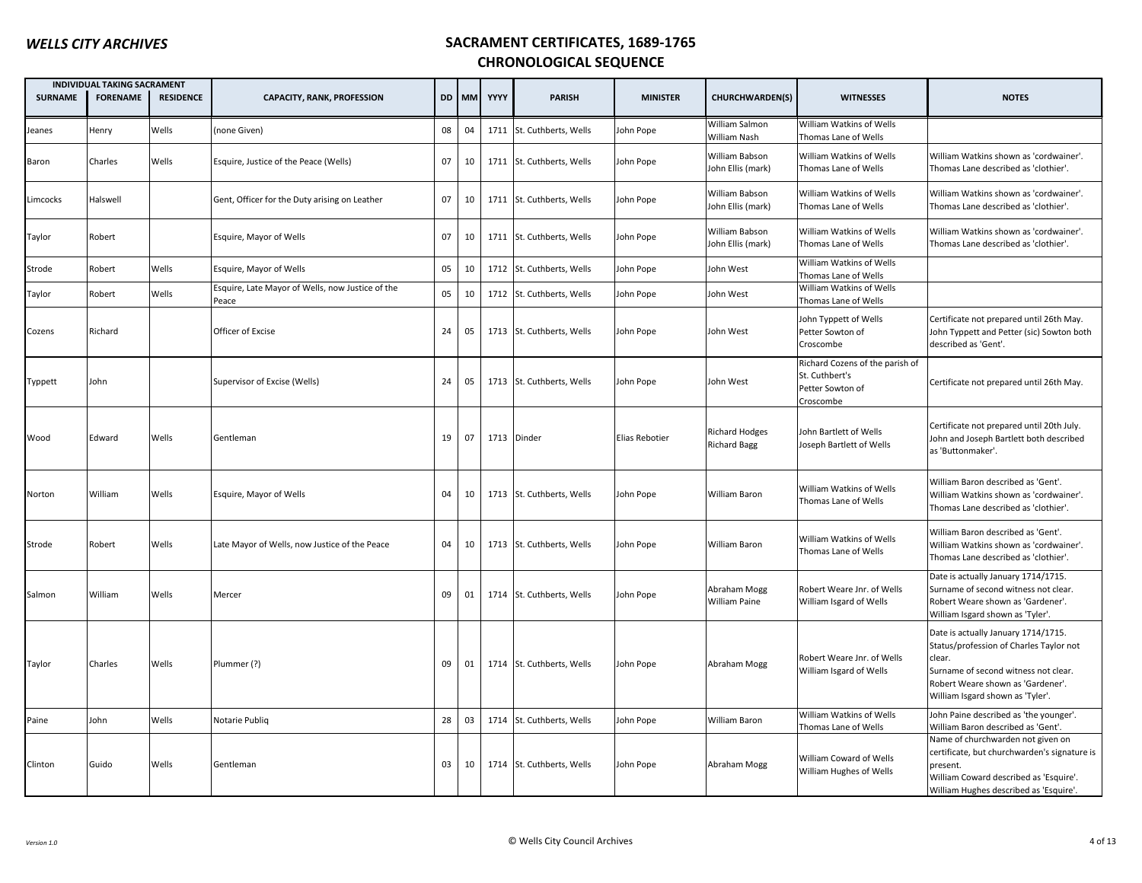| <b>SURNAME</b> | <b>INDIVIDUAL TAKING SACRAMENT</b><br><b>FORENAME</b> | <b>RESIDENCE</b> | <b>CAPACITY, RANK, PROFESSION</b>                         |    | DD MM | YYYY        | <b>PARISH</b>             | <b>MINISTER</b> | CHURCHWARDEN(S)                              | <b>WITNESSES</b>                                                                   | <b>NOTES</b>                                                                                                                                                                                              |
|----------------|-------------------------------------------------------|------------------|-----------------------------------------------------------|----|-------|-------------|---------------------------|-----------------|----------------------------------------------|------------------------------------------------------------------------------------|-----------------------------------------------------------------------------------------------------------------------------------------------------------------------------------------------------------|
| Jeanes         | Henry                                                 | Wells            | none Given)                                               | 08 | 04    |             | 1711 St. Cuthberts, Wells | John Pope       | William Salmon<br>William Nash               | William Watkins of Wells<br>Thomas Lane of Wells                                   |                                                                                                                                                                                                           |
| Baron          | Charles                                               | Wells            | Esquire, Justice of the Peace (Wells)                     | 07 | 10    |             | 1711 St. Cuthberts, Wells | John Pope       | William Babson<br>John Ellis (mark)          | William Watkins of Wells<br>Thomas Lane of Wells                                   | William Watkins shown as 'cordwainer'.<br>Thomas Lane described as 'clothier'.                                                                                                                            |
| .imcocks       | Halswell                                              |                  | Gent, Officer for the Duty arising on Leather             | 07 | 10    |             | 1711 St. Cuthberts, Wells | John Pope       | William Babson<br>John Ellis (mark)          | William Watkins of Wells<br>Thomas Lane of Wells                                   | William Watkins shown as 'cordwainer'.<br>Thomas Lane described as 'clothier'.                                                                                                                            |
| Taylor         | Robert                                                |                  | Esquire, Mayor of Wells                                   | 07 | 10    |             | 1711 St. Cuthberts, Wells | John Pope       | William Babson<br>John Ellis (mark)          | William Watkins of Wells<br>Thomas Lane of Wells                                   | William Watkins shown as 'cordwainer'.<br>Thomas Lane described as 'clothier'.                                                                                                                            |
| Strode         | Robert                                                | Wells            | Esquire, Mayor of Wells                                   | 05 | 10    |             | 1712 St. Cuthberts, Wells | John Pope       | John West                                    | William Watkins of Wells<br>Thomas Lane of Wells                                   |                                                                                                                                                                                                           |
| Taylor         | Robert                                                | Wells            | Esquire, Late Mayor of Wells, now Justice of the<br>Peace | 05 | 10    |             | 1712 St. Cuthberts, Wells | John Pope       | Iohn West                                    | William Watkins of Wells<br>Thomas Lane of Wells                                   |                                                                                                                                                                                                           |
| Cozens         | Richard                                               |                  | Officer of Excise                                         | 24 | 05    |             | 1713 St. Cuthberts, Wells | John Pope       | John West                                    | John Typpett of Wells<br>Petter Sowton of<br>Croscombe                             | Certificate not prepared until 26th May.<br>John Typpett and Petter (sic) Sowton both<br>described as 'Gent'.                                                                                             |
| Typpett        | John                                                  |                  | Supervisor of Excise (Wells)                              | 24 | 05    |             | 1713 St. Cuthberts, Wells | John Pope       | John West                                    | Richard Cozens of the parish of<br>St. Cuthbert's<br>Petter Sowton of<br>Croscombe | Certificate not prepared until 26th May.                                                                                                                                                                  |
| Wood           | Edward                                                | Wells            | Gentleman                                                 | 19 | 07    | 1713 Dinder |                           | Elias Rebotier  | <b>Richard Hodges</b><br><b>Richard Bagg</b> | John Bartlett of Wells<br>Joseph Bartlett of Wells                                 | Certificate not prepared until 20th July.<br>John and Joseph Bartlett both described<br>as 'Buttonmaker'.                                                                                                 |
| Norton         | William                                               | Wells            | Esquire, Mayor of Wells                                   | 04 | 10    |             | 1713 St. Cuthberts, Wells | John Pope       | William Baron                                | William Watkins of Wells<br>Thomas Lane of Wells                                   | William Baron described as 'Gent'.<br>William Watkins shown as 'cordwainer'.<br>Thomas Lane described as 'clothier'.                                                                                      |
| Strode         | Robert                                                | Wells            | Late Mayor of Wells, now Justice of the Peace             | 04 | 10    |             | 1713 St. Cuthberts, Wells | John Pope       | William Baron                                | William Watkins of Wells<br>Thomas Lane of Wells                                   | William Baron described as 'Gent'.<br>William Watkins shown as 'cordwainer'.<br>Thomas Lane described as 'clothier'.                                                                                      |
| Salmon         | William                                               | Wells            | Mercer                                                    | 09 | 01    |             | 1714 St. Cuthberts, Wells | John Pope       | Abraham Mogg<br>William Paine                | Robert Weare Jnr. of Wells<br>William Isgard of Wells                              | Date is actually January 1714/1715.<br>Surname of second witness not clear.<br>Robert Weare shown as 'Gardener'.<br>William Isgard shown as 'Tyler'.                                                      |
| Taylor         | Charles                                               | Wells            | Plummer (?)                                               | 09 | 01    |             | 1714 St. Cuthberts, Wells | John Pope       | Abraham Mogg                                 | Robert Weare Jnr. of Wells<br>William Isgard of Wells                              | Date is actually January 1714/1715.<br>Status/profession of Charles Taylor not<br>clear.<br>Surname of second witness not clear.<br>Robert Weare shown as 'Gardener'.<br>William Isgard shown as 'Tyler'. |
| Paine          | John                                                  | Wells            | Notarie Publiq                                            | 28 | 03    |             | 1714 St. Cuthberts, Wells | John Pope       | William Baron                                | William Watkins of Wells<br>Thomas Lane of Wells                                   | John Paine described as 'the younger'.<br>William Baron described as 'Gent'.                                                                                                                              |
| Clinton        | Guido                                                 | Wells            | Gentleman                                                 | 03 | 10    |             | 1714 St. Cuthberts, Wells | John Pope       | Abraham Mogg                                 | William Coward of Wells<br>William Hughes of Wells                                 | Name of churchwarden not given on<br>certificate, but churchwarden's signature is<br>present.<br>William Coward described as 'Esquire'.<br>William Hughes described as 'Esquire'.                         |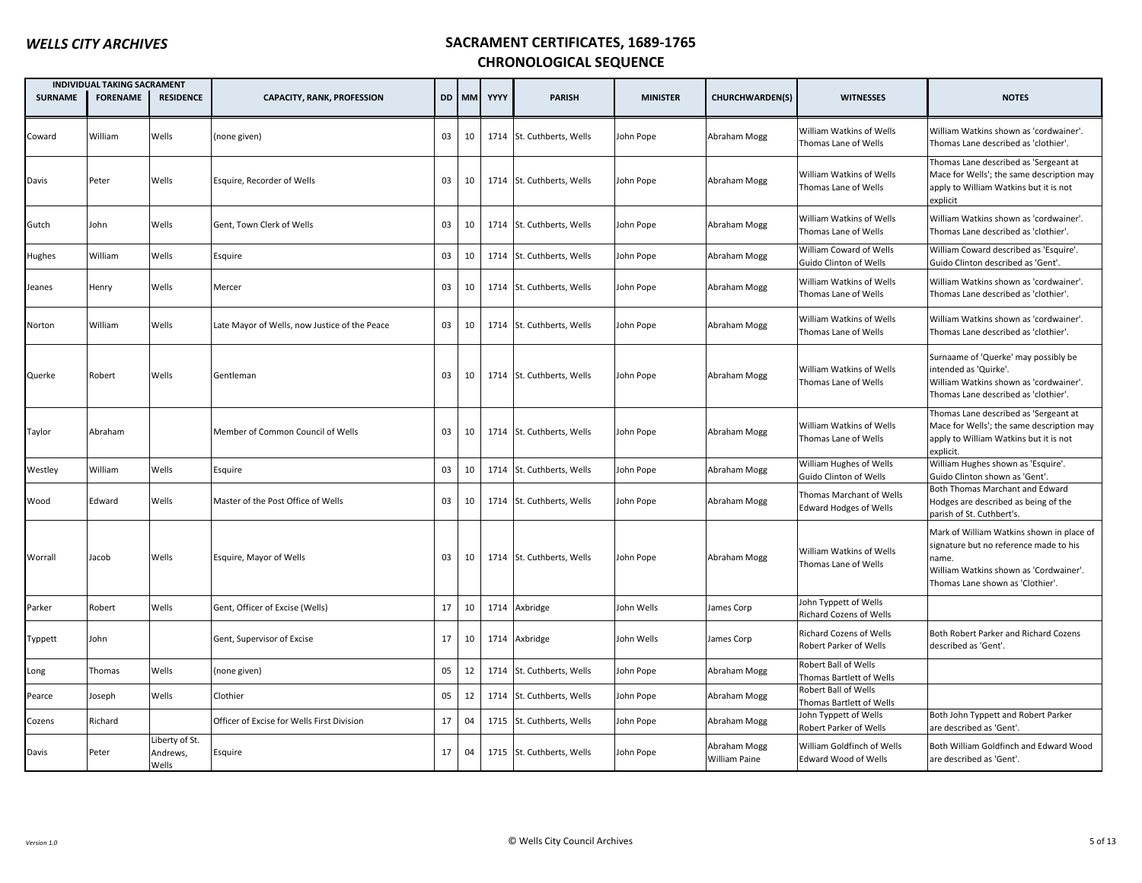|                | <b>INDIVIDUAL TAKING SACRAMENT</b> |                                     |                                               |    |       |             |                           |                 |                                      |                                                           |                                                                                                                                                                            |
|----------------|------------------------------------|-------------------------------------|-----------------------------------------------|----|-------|-------------|---------------------------|-----------------|--------------------------------------|-----------------------------------------------------------|----------------------------------------------------------------------------------------------------------------------------------------------------------------------------|
| <b>SURNAME</b> | <b>FORENAME</b>                    | <b>RESIDENCE</b>                    | <b>CAPACITY, RANK, PROFESSION</b>             |    | DD MM | <b>YYYY</b> | <b>PARISH</b>             | <b>MINISTER</b> | <b>CHURCHWARDEN(S)</b>               | <b>WITNESSES</b>                                          | <b>NOTES</b>                                                                                                                                                               |
| Coward         | William                            | Wells                               | (none given)                                  | 03 | 10    |             | 1714 St. Cuthberts, Wells | John Pope       | Abraham Mogg                         | William Watkins of Wells<br>Thomas Lane of Wells          | William Watkins shown as 'cordwainer'.<br>Thomas Lane described as 'clothier'.                                                                                             |
| Davis          | Peter                              | Wells                               | Esquire, Recorder of Wells                    | 03 | 10    |             | 1714 St. Cuthberts, Wells | John Pope       | Abraham Mogg                         | William Watkins of Wells<br>Thomas Lane of Wells          | Thomas Lane described as 'Sergeant at<br>Mace for Wells'; the same description may<br>apply to William Watkins but it is not<br>explicit                                   |
| Gutch          | John                               | Wells                               | Gent, Town Clerk of Wells                     | 03 | 10    |             | 1714 St. Cuthberts, Wells | John Pope       | Abraham Mogg                         | William Watkins of Wells<br>Thomas Lane of Wells          | William Watkins shown as 'cordwainer'.<br>Thomas Lane described as 'clothier'.                                                                                             |
| Hughes         | William                            | Wells                               | Esquire                                       | 03 | 10    |             | 1714 St. Cuthberts, Wells | John Pope       | Abraham Mogg                         | William Coward of Wells<br>Guido Clinton of Wells         | William Coward described as 'Esquire'.<br>Guido Clinton described as 'Gent'.                                                                                               |
| Jeanes         | Henry                              | Wells                               | Mercer                                        | 03 | 10    |             | 1714 St. Cuthberts, Wells | John Pope       | Abraham Mogg                         | William Watkins of Wells<br>Thomas Lane of Wells          | William Watkins shown as 'cordwainer'.<br>Thomas Lane described as 'clothier'.                                                                                             |
| Norton         | William                            | Wells                               | Late Mayor of Wells, now Justice of the Peace | 03 | 10    |             | 1714 St. Cuthberts, Wells | John Pope       | Abraham Mogg                         | William Watkins of Wells<br>Thomas Lane of Wells          | William Watkins shown as 'cordwainer'.<br>Thomas Lane described as 'clothier'.                                                                                             |
| Querke         | Robert                             | Wells                               | Gentleman                                     | 03 | 10    |             | 1714 St. Cuthberts, Wells | John Pope       | Abraham Mogg                         | William Watkins of Wells<br>Thomas Lane of Wells          | Surnaame of 'Querke' may possibly be<br>intended as 'Quirke'.<br>William Watkins shown as 'cordwainer'.<br>Thomas Lane described as 'clothier'.                            |
| Taylor         | Abraham                            |                                     | Member of Common Council of Wells             | 03 | 10    |             | 1714 St. Cuthberts, Wells | John Pope       | Abraham Mogg                         | William Watkins of Wells<br>Thomas Lane of Wells          | Thomas Lane described as 'Sergeant at<br>Mace for Wells'; the same description may<br>apply to William Watkins but it is not<br>explicit.                                  |
| Westley        | William                            | Wells                               | Esquire                                       | 03 | 10    |             | 1714 St. Cuthberts, Wells | John Pope       | Abraham Mogg                         | William Hughes of Wells<br>Guido Clinton of Wells         | William Hughes shown as 'Esquire'.<br>Guido Clinton shown as 'Gent'.                                                                                                       |
| Wood           | Edward                             | Wells                               | Master of the Post Office of Wells            | 03 | 10    |             | 1714 St. Cuthberts, Wells | John Pope       | Abraham Mogg                         | Thomas Marchant of Wells<br><b>Edward Hodges of Wells</b> | Both Thomas Marchant and Edward<br>Hodges are described as being of the<br>parish of St. Cuthbert's.                                                                       |
| Worrall        | Jacob                              | Wells                               | Esquire, Mayor of Wells                       | 03 | 10    |             | 1714 St. Cuthberts, Wells | John Pope       | Abraham Mogg                         | William Watkins of Wells<br>Thomas Lane of Wells          | Mark of William Watkins shown in place of<br>signature but no reference made to his<br>name.<br>William Watkins shown as 'Cordwainer'.<br>Thomas Lane shown as 'Clothier'. |
| Parker         | Robert                             | Wells                               | Gent, Officer of Excise (Wells)               | 17 | 10    |             | 1714 Axbridge             | John Wells      | ames Corp                            | John Typpett of Wells<br>Richard Cozens of Wells          |                                                                                                                                                                            |
| Typpett        | John                               |                                     | Gent, Supervisor of Excise                    | 17 | 10    |             | 1714 Axbridge             | John Wells      | ames Corp                            | Richard Cozens of Wells<br>Robert Parker of Wells         | Both Robert Parker and Richard Cozens<br>described as 'Gent'.                                                                                                              |
| Long           | Thomas                             | Wells                               | (none given)                                  | 05 | 12    |             | 1714 St. Cuthberts, Wells | John Pope       | Abraham Mogg                         | Robert Ball of Wells<br>Thomas Bartlett of Wells          |                                                                                                                                                                            |
| Pearce         | Joseph                             | Wells                               | Clothier                                      | 05 | 12    |             | 1714 St. Cuthberts, Wells | John Pope       | Abraham Mogg                         | Robert Ball of Wells<br>Thomas Bartlett of Wells          |                                                                                                                                                                            |
| Cozens         | Richard                            |                                     | Officer of Excise for Wells First Division    | 17 | 04    |             | 1715 St. Cuthberts, Wells | John Pope       | Abraham Mogg                         | John Typpett of Wells<br>Robert Parker of Wells           | Both John Typpett and Robert Parker<br>are described as 'Gent'.                                                                                                            |
| Davis          | Peter                              | Liberty of St.<br>Andrews,<br>Wells | Esquire                                       | 17 | 04    |             | 1715 St. Cuthberts, Wells | John Pope       | Abraham Mogg<br><b>William Paine</b> | William Goldfinch of Wells<br><b>Edward Wood of Wells</b> | Both William Goldfinch and Edward Wood<br>are described as 'Gent'.                                                                                                         |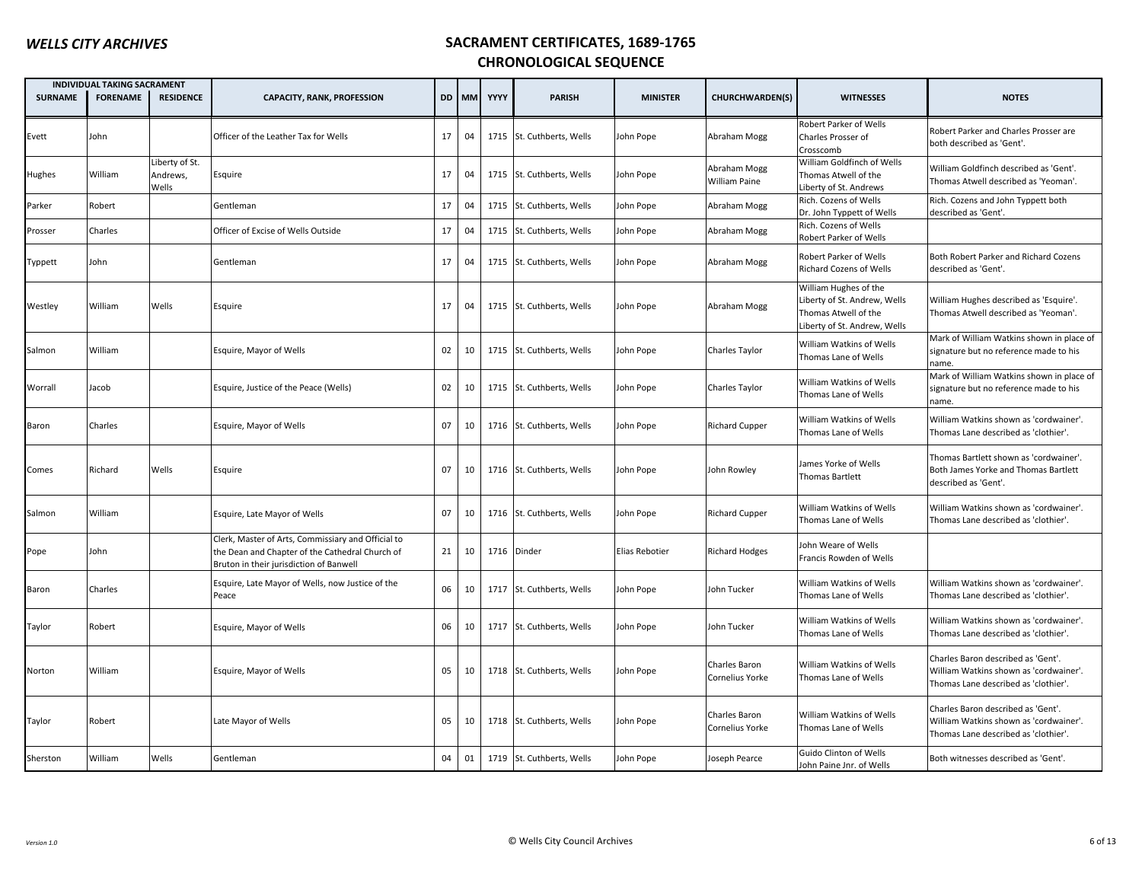|                | INDIVIDUAL TAKING SACRAMENT |                                     |                                                                                                                                                  |    |       |      |                           |                 |                                  |                                                                                                               |                                                                                                                      |
|----------------|-----------------------------|-------------------------------------|--------------------------------------------------------------------------------------------------------------------------------------------------|----|-------|------|---------------------------|-----------------|----------------------------------|---------------------------------------------------------------------------------------------------------------|----------------------------------------------------------------------------------------------------------------------|
| <b>SURNAME</b> | <b>FORENAME</b>             | <b>RESIDENCE</b>                    | <b>CAPACITY, RANK, PROFESSION</b>                                                                                                                |    | DD MM | YYYY | <b>PARISH</b>             | <b>MINISTER</b> | <b>CHURCHWARDEN(S)</b>           | <b>WITNESSES</b>                                                                                              | <b>NOTES</b>                                                                                                         |
| Evett          | John                        |                                     | Officer of the Leather Tax for Wells                                                                                                             | 17 | 04    |      | 1715 St. Cuthberts, Wells | John Pope       | Abraham Mogg                     | Robert Parker of Wells<br>Charles Prosser of<br>Crosscomb                                                     | Robert Parker and Charles Prosser are<br>both described as 'Gent'.                                                   |
| Hughes         | William                     | Liberty of St.<br>Andrews,<br>Wells | Esquire                                                                                                                                          | 17 | 04    |      | 1715 St. Cuthberts, Wells | John Pope       | Abraham Mogg<br>William Paine    | William Goldfinch of Wells<br>Thomas Atwell of the<br>Liberty of St. Andrews                                  | William Goldfinch described as 'Gent'.<br>Thomas Atwell described as 'Yeoman'.                                       |
| Parker         | Robert                      |                                     | Gentleman                                                                                                                                        | 17 | 04    |      | 1715 St. Cuthberts, Wells | John Pope       | Abraham Mogg                     | Rich. Cozens of Wells<br>Dr. John Typpett of Wells                                                            | Rich. Cozens and John Typpett both<br>described as 'Gent'.                                                           |
| Prosser        | Charles                     |                                     | Officer of Excise of Wells Outside                                                                                                               | 17 | 04    |      | 1715 St. Cuthberts, Wells | John Pope       | Abraham Mogg                     | Rich. Cozens of Wells<br>Robert Parker of Wells                                                               |                                                                                                                      |
| Typpett        | John                        |                                     | Gentleman                                                                                                                                        | 17 | 04    |      | 1715 St. Cuthberts, Wells | John Pope       | Abraham Mogg                     | Robert Parker of Wells<br>Richard Cozens of Wells                                                             | Both Robert Parker and Richard Cozens<br>described as 'Gent'.                                                        |
| Westley        | William                     | Wells                               | Esquire                                                                                                                                          | 17 | 04    |      | 1715 St. Cuthberts, Wells | John Pope       | Abraham Mogg                     | William Hughes of the<br>Liberty of St. Andrew, Wells<br>Thomas Atwell of the<br>Liberty of St. Andrew, Wells | William Hughes described as 'Esquire'.<br>Thomas Atwell described as 'Yeoman'.                                       |
| Salmon         | William                     |                                     | Esquire, Mayor of Wells                                                                                                                          | 02 | 10    |      | 1715 St. Cuthberts, Wells | John Pope       | Charles Taylor                   | William Watkins of Wells<br>Thomas Lane of Wells                                                              | Mark of William Watkins shown in place of<br>signature but no reference made to his<br>name.                         |
| Worrall        | Jacob                       |                                     | Esquire, Justice of the Peace (Wells)                                                                                                            | 02 | 10    |      | 1715 St. Cuthberts, Wells | John Pope       | Charles Taylor                   | William Watkins of Wells<br>Thomas Lane of Wells                                                              | Mark of William Watkins shown in place of<br>signature but no reference made to his<br>name.                         |
| Baron          | Charles                     |                                     | Esquire, Mayor of Wells                                                                                                                          | 07 | 10    |      | 1716 St. Cuthberts, Wells | John Pope       | <b>Richard Cupper</b>            | William Watkins of Wells<br>Thomas Lane of Wells                                                              | William Watkins shown as 'cordwainer'.<br>Thomas Lane described as 'clothier'.                                       |
| Comes          | Richard                     | Wells                               | Esquire                                                                                                                                          | 07 | 10    |      | 1716 St. Cuthberts, Wells | John Pope       | John Rowley                      | lames Yorke of Wells<br>Thomas Bartlett                                                                       | Thomas Bartlett shown as 'cordwainer'.<br>Both James Yorke and Thomas Bartlett<br>described as 'Gent'.               |
| Salmon         | William                     |                                     | Esquire, Late Mayor of Wells                                                                                                                     | 07 | 10    |      | 1716 St. Cuthberts, Wells | John Pope       | Richard Cupper                   | William Watkins of Wells<br>Thomas Lane of Wells                                                              | William Watkins shown as 'cordwainer'.<br>Thomas Lane described as 'clothier'.                                       |
| Pope           | John                        |                                     | Clerk, Master of Arts, Commissiary and Official to<br>the Dean and Chapter of the Cathedral Church of<br>Bruton in their jurisdiction of Banwell | 21 | 10    | 1716 | Dinder                    | Elias Rebotier  | <b>Richard Hodges</b>            | Iohn Weare of Wells<br>Francis Rowden of Wells                                                                |                                                                                                                      |
| Baron          | Charles                     |                                     | Esquire, Late Mayor of Wells, now Justice of the<br>Peace                                                                                        | 06 | 10    |      | 1717 St. Cuthberts, Wells | John Pope       | John Tucker                      | William Watkins of Wells<br>Thomas Lane of Wells                                                              | William Watkins shown as 'cordwainer'.<br>Thomas Lane described as 'clothier'.                                       |
| Taylor         | Robert                      |                                     | Esquire, Mayor of Wells                                                                                                                          | 06 | 10    |      | 1717 St. Cuthberts, Wells | John Pope       | John Tucker                      | William Watkins of Wells<br>Thomas Lane of Wells                                                              | William Watkins shown as 'cordwainer'.<br>Thomas Lane described as 'clothier'.                                       |
| Norton         | William                     |                                     | Esquire, Mayor of Wells                                                                                                                          | 05 | 10    |      | 1718 St. Cuthberts, Wells | John Pope       | Charles Baron<br>Cornelius Yorke | William Watkins of Wells<br>Thomas Lane of Wells                                                              | Charles Baron described as 'Gent'.<br>William Watkins shown as 'cordwainer'.<br>Thomas Lane described as 'clothier'. |
| Taylor         | Robert                      |                                     | Late Mayor of Wells                                                                                                                              | 05 | 10    |      | 1718 St. Cuthberts, Wells | John Pope       | Charles Baron<br>Cornelius Yorke | William Watkins of Wells<br>Thomas Lane of Wells                                                              | Charles Baron described as 'Gent'.<br>William Watkins shown as 'cordwainer'.<br>Thomas Lane described as 'clothier'. |
| Sherston       | William                     | Wells                               | Gentleman                                                                                                                                        | 04 | 01    |      | 1719 St. Cuthberts, Wells | John Pope       | Joseph Pearce                    | Guido Clinton of Wells<br>John Paine Jnr. of Wells                                                            | Both witnesses described as 'Gent'.                                                                                  |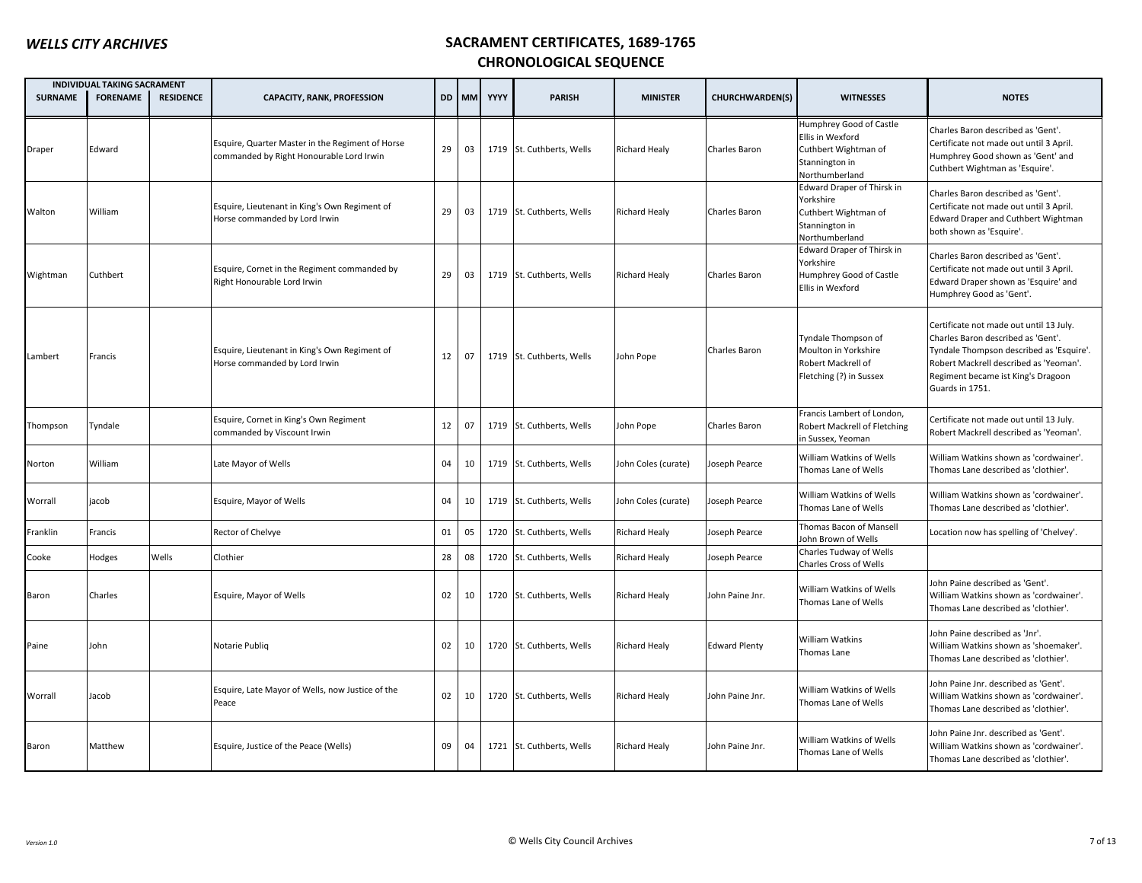|                | <b>INDIVIDUAL TAKING SACRAMENT</b> |                  |                                                                                              |    |              |      |                           |                      |                      |                                                                                                         |                                                                                                                                                                                                                              |
|----------------|------------------------------------|------------------|----------------------------------------------------------------------------------------------|----|--------------|------|---------------------------|----------------------|----------------------|---------------------------------------------------------------------------------------------------------|------------------------------------------------------------------------------------------------------------------------------------------------------------------------------------------------------------------------------|
| <b>SURNAME</b> | <b>FORENAME</b>                    | <b>RESIDENCE</b> | <b>CAPACITY, RANK, PROFESSION</b>                                                            |    | <b>DD</b> MM | YYYY | <b>PARISH</b>             | <b>MINISTER</b>      | CHURCHWARDEN(S)      | <b>WITNESSES</b>                                                                                        | <b>NOTES</b>                                                                                                                                                                                                                 |
| Draper         | Edward                             |                  | Esquire, Quarter Master in the Regiment of Horse<br>commanded by Right Honourable Lord Irwin | 29 | 03           |      | 1719 St. Cuthberts, Wells | Richard Healy        | Charles Baron        | Humphrey Good of Castle<br>Ellis in Wexford<br>Cuthbert Wightman of<br>Stannington in<br>Northumberland | Charles Baron described as 'Gent'.<br>Certificate not made out until 3 April.<br>Humphrey Good shown as 'Gent' and<br>Cuthbert Wightman as 'Esquire'.                                                                        |
| Walton         | William                            |                  | Esquire, Lieutenant in King's Own Regiment of<br>Horse commanded by Lord Irwin               | 29 | 03           |      | 1719 St. Cuthberts, Wells | <b>Richard Healy</b> | Charles Baron        | Edward Draper of Thirsk in<br>Yorkshire<br>Cuthbert Wightman of<br>Stannington in<br>Northumberland     | Charles Baron described as 'Gent'.<br>Certificate not made out until 3 April.<br><b>Edward Draper and Cuthbert Wightman</b><br>both shown as 'Esquire'.                                                                      |
| Wightman       | Cuthbert                           |                  | Esquire, Cornet in the Regiment commanded by<br>Right Honourable Lord Irwin                  | 29 | 03           |      | 1719 St. Cuthberts, Wells | <b>Richard Healy</b> | Charles Baron        | Edward Draper of Thirsk in<br>Yorkshire<br>Humphrey Good of Castle<br>Ellis in Wexford                  | Charles Baron described as 'Gent'.<br>Certificate not made out until 3 April.<br>Edward Draper shown as 'Esquire' and<br>Humphrey Good as 'Gent'.                                                                            |
| Lambert        | Francis                            |                  | Esquire, Lieutenant in King's Own Regiment of<br>Horse commanded by Lord Irwin               | 12 | 07           |      | 1719 St. Cuthberts, Wells | John Pope            | Charles Baron        | Tyndale Thompson of<br>Moulton in Yorkshire<br>Robert Mackrell of<br>Fletching (?) in Sussex            | Certificate not made out until 13 July.<br>Charles Baron described as 'Gent'.<br>Tyndale Thompson described as 'Esquire'.<br>Robert Mackrell described as 'Yeoman'.<br>Regiment became ist King's Dragoon<br>Guards in 1751. |
| Thompson       | Tyndale                            |                  | Esquire, Cornet in King's Own Regiment<br>commanded by Viscount Irwin                        | 12 | 07           |      | 1719 St. Cuthberts, Wells | John Pope            | Charles Baron        | Francis Lambert of London,<br>Robert Mackrell of Fletching<br>in Sussex, Yeoman                         | Certificate not made out until 13 July.<br>Robert Mackrell described as 'Yeoman'.                                                                                                                                            |
| Norton         | William                            |                  | Late Mayor of Wells                                                                          | 04 | 10           |      | 1719 St. Cuthberts, Wells | John Coles (curate)  | oseph Pearce         | William Watkins of Wells<br>Thomas Lane of Wells                                                        | William Watkins shown as 'cordwainer'.<br>Thomas Lane described as 'clothier'.                                                                                                                                               |
| Worrall        | jacob                              |                  | Esquire, Mayor of Wells                                                                      | 04 | 10           |      | 1719 St. Cuthberts, Wells | John Coles (curate)  | Joseph Pearce        | William Watkins of Wells<br>Thomas Lane of Wells                                                        | William Watkins shown as 'cordwainer'.<br>Thomas Lane described as 'clothier'.                                                                                                                                               |
| Franklin       | Francis                            |                  | Rector of Chelvye                                                                            | 01 | 05           | 1720 | St. Cuthberts, Wells      | <b>Richard Healy</b> | Joseph Pearce        | Thomas Bacon of Mansell<br>John Brown of Wells                                                          | Location now has spelling of 'Chelvey'.                                                                                                                                                                                      |
| Cooke          | Hodges                             | Wells            | Clothier                                                                                     | 28 | 08           |      | 1720 St. Cuthberts, Wells | <b>Richard Healy</b> | Joseph Pearce        | Charles Tudway of Wells<br>Charles Cross of Wells                                                       |                                                                                                                                                                                                                              |
| Baron          | Charles                            |                  | Esquire, Mayor of Wells                                                                      | 02 | 10           |      | 1720 St. Cuthberts, Wells | Richard Healy        | John Paine Jnr.      | William Watkins of Wells<br>Thomas Lane of Wells                                                        | John Paine described as 'Gent'.<br>William Watkins shown as 'cordwainer'.<br>Thomas Lane described as 'clothier'.                                                                                                            |
| Paine          | John                               |                  | Notarie Publiq                                                                               | 02 | 10           |      | 1720 St. Cuthberts, Wells | <b>Richard Healy</b> | <b>Edward Plenty</b> | <b>William Watkins</b><br>Thomas Lane                                                                   | John Paine described as 'Jnr'.<br>William Watkins shown as 'shoemaker'.<br>Thomas Lane described as 'clothier'.                                                                                                              |
| Worrall        | Jacob                              |                  | Esquire, Late Mayor of Wells, now Justice of the<br>Peace                                    | 02 | 10           |      | 1720 St. Cuthberts, Wells | Richard Healy        | John Paine Jnr.      | William Watkins of Wells<br>Thomas Lane of Wells                                                        | John Paine Jnr. described as 'Gent'.<br>William Watkins shown as 'cordwainer'.<br>Thomas Lane described as 'clothier'.                                                                                                       |
| Baron          | Matthew                            |                  | Esquire, Justice of the Peace (Wells)                                                        | 09 | 04           | 1721 | St. Cuthberts, Wells      | <b>Richard Healy</b> | John Paine Jnr.      | William Watkins of Wells<br>Thomas Lane of Wells                                                        | John Paine Jnr. described as 'Gent'.<br>William Watkins shown as 'cordwainer'.<br>Thomas Lane described as 'clothier'.                                                                                                       |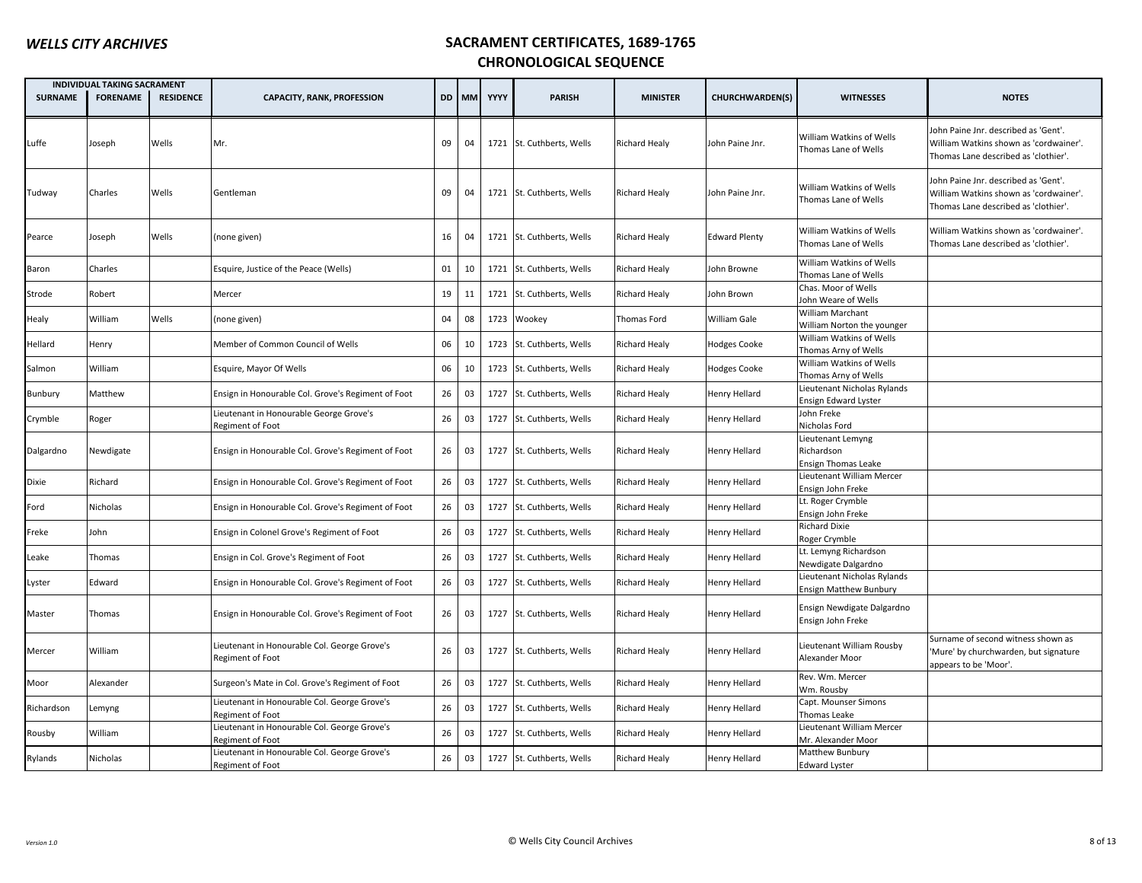|                | <b>INDIVIDUAL TAKING SACRAMENT</b> |                  |                                                                  |    |       |      |                           |                      |                        |                                                               |                                                                                                                        |
|----------------|------------------------------------|------------------|------------------------------------------------------------------|----|-------|------|---------------------------|----------------------|------------------------|---------------------------------------------------------------|------------------------------------------------------------------------------------------------------------------------|
| <b>SURNAME</b> | <b>FORENAME</b>                    | <b>RESIDENCE</b> | <b>CAPACITY, RANK, PROFESSION</b>                                |    | DD MM | YYYY | <b>PARISH</b>             | <b>MINISTER</b>      | <b>CHURCHWARDEN(S)</b> | <b>WITNESSES</b>                                              | <b>NOTES</b>                                                                                                           |
| Luffe          | loseph                             | Wells            | Mr.                                                              | 09 | 04    |      | 1721 St. Cuthberts, Wells | <b>Richard Healy</b> | John Paine Jnr.        | William Watkins of Wells<br>Thomas Lane of Wells              | Iohn Paine Jnr. described as 'Gent'.<br>William Watkins shown as 'cordwainer'.<br>Thomas Lane described as 'clothier'. |
| Tudway         | Charles                            | Wells            | Gentleman                                                        | 09 | 04    |      | 1721 St. Cuthberts, Wells | <b>Richard Healy</b> | John Paine Jnr.        | William Watkins of Wells<br>Thomas Lane of Wells              | Iohn Paine Jnr. described as 'Gent'.<br>William Watkins shown as 'cordwainer'.<br>Thomas Lane described as 'clothier'. |
| Pearce         | Joseph                             | Wells            | (none given)                                                     | 16 | 04    |      | 1721 St. Cuthberts, Wells | <b>Richard Healy</b> | <b>Edward Plenty</b>   | William Watkins of Wells<br>Thomas Lane of Wells              | William Watkins shown as 'cordwainer'.<br>Thomas Lane described as 'clothier'.                                         |
| Baron          | Charles                            |                  | Esquire, Justice of the Peace (Wells)                            | 01 | 10    |      | 1721 St. Cuthberts, Wells | <b>Richard Healy</b> | John Browne            | William Watkins of Wells<br>Thomas Lane of Wells              |                                                                                                                        |
| Strode         | Robert                             |                  | Mercer                                                           | 19 | 11    |      | 1721 St. Cuthberts, Wells | <b>Richard Healy</b> | ohn Brown              | Chas. Moor of Wells<br>Iohn Weare of Wells                    |                                                                                                                        |
| Healy          | William                            | Wells            | (none given)                                                     | 04 | 08    |      | 1723 Wookey               | Thomas Ford          | William Gale           | William Marchant<br>William Norton the younger                |                                                                                                                        |
| Hellard        | Henry                              |                  | Member of Common Council of Wells                                | 06 | 10    |      | 1723 St. Cuthberts, Wells | <b>Richard Healy</b> | <b>Hodges Cooke</b>    | William Watkins of Wells<br>Thomas Arny of Wells              |                                                                                                                        |
| Salmon         | William                            |                  | Esquire, Mayor Of Wells                                          | 06 | 10    | 1723 | St. Cuthberts, Wells      | Richard Healy        | Hodges Cooke           | William Watkins of Wells<br>Thomas Arny of Wells              |                                                                                                                        |
| Bunbury        | Matthew                            |                  | Ensign in Honourable Col. Grove's Regiment of Foot               | 26 | 03    | 1727 | St. Cuthberts, Wells      | <b>Richard Healy</b> | Henry Hellard          | Lieutenant Nicholas Rylands<br>Ensign Edward Lyster           |                                                                                                                        |
| Crymble        | Roger                              |                  | Lieutenant in Honourable George Grove's<br>Regiment of Foot      | 26 | 03    |      | 1727 St. Cuthberts, Wells | <b>Richard Healy</b> | Henry Hellard          | John Freke<br>Nicholas Ford                                   |                                                                                                                        |
| Dalgardno      | Newdigate                          |                  | Ensign in Honourable Col. Grove's Regiment of Foot               | 26 | 03    |      | 1727 St. Cuthberts, Wells | <b>Richard Healy</b> | Henry Hellard          | Lieutenant Lemyng<br>Richardson<br><b>Ensign Thomas Leake</b> |                                                                                                                        |
| Dixie          | Richard                            |                  | Ensign in Honourable Col. Grove's Regiment of Foot               | 26 | 03    |      | 1727 St. Cuthberts, Wells | <b>Richard Healy</b> | Henry Hellard          | Lieutenant William Mercer<br>Ensign John Freke                |                                                                                                                        |
| Ford           | Nicholas                           |                  | Ensign in Honourable Col. Grove's Regiment of Foot               | 26 | 03    |      | 1727 St. Cuthberts, Wells | <b>Richard Healy</b> | Henry Hellard          | Lt. Roger Crymble<br>Ensign John Freke                        |                                                                                                                        |
| Freke          | John                               |                  | Ensign in Colonel Grove's Regiment of Foot                       | 26 | 03    | 1727 | St. Cuthberts, Wells      | Richard Healy        | Henry Hellard          | <b>Richard Dixie</b><br>Roger Crymble                         |                                                                                                                        |
| Leake          | Thomas                             |                  | Ensign in Col. Grove's Regiment of Foot                          | 26 | 03    | 1727 | St. Cuthberts, Wells      | <b>Richard Healy</b> | Henry Hellard          | Lt. Lemyng Richardson<br>Newdigate Dalgardno                  |                                                                                                                        |
| Lyster         | Edward                             |                  | Ensign in Honourable Col. Grove's Regiment of Foot               | 26 | 03    | 1727 | St. Cuthberts, Wells      | <b>Richard Healy</b> | lenry Hellard          | Lieutenant Nicholas Rylands<br><b>Ensign Matthew Bunbury</b>  |                                                                                                                        |
| Master         | Thomas                             |                  | Ensign in Honourable Col. Grove's Regiment of Foot               | 26 | 03    |      | 1727 St. Cuthberts, Wells | <b>Richard Healy</b> | Henry Hellard          | Ensign Newdigate Dalgardno<br>Ensign John Freke               |                                                                                                                        |
| Mercer         | William                            |                  | Lieutenant in Honourable Col. George Grove's<br>Regiment of Foot | 26 | 03    |      | 1727 St. Cuthberts, Wells | <b>Richard Healy</b> | Henry Hellard          | Lieutenant William Rousby<br>Alexander Moor                   | Surname of second witness shown as<br>Mure' by churchwarden, but signature<br>appears to be 'Moor'.                    |
| Moor           | Alexander                          |                  | Surgeon's Mate in Col. Grove's Regiment of Foot                  | 26 | 03    | 1727 | St. Cuthberts, Wells      | Richard Healy        | Henry Hellard          | Rev. Wm. Mercer<br>Wm. Rousby                                 |                                                                                                                        |
| Richardson     | Lemyng                             |                  | Lieutenant in Honourable Col. George Grove's<br>Regiment of Foot | 26 | 03    | 1727 | St. Cuthberts, Wells      | <b>Richard Healy</b> | Henry Hellard          | Capt. Mounser Simons<br>Thomas Leake                          |                                                                                                                        |
| Rousby         | William                            |                  | Lieutenant in Honourable Col. George Grove's<br>Regiment of Foot | 26 | 03    | 1727 | St. Cuthberts, Wells      | Richard Healy        | Henry Hellard          | Lieutenant William Mercer<br>Mr. Alexander Moor               |                                                                                                                        |
| Rylands        | Nicholas                           |                  | Lieutenant in Honourable Col. George Grove's<br>Regiment of Foot | 26 | 03    |      | 1727 St. Cuthberts, Wells | <b>Richard Healy</b> | Henry Hellard          | Matthew Bunbury<br><b>Edward Lyster</b>                       |                                                                                                                        |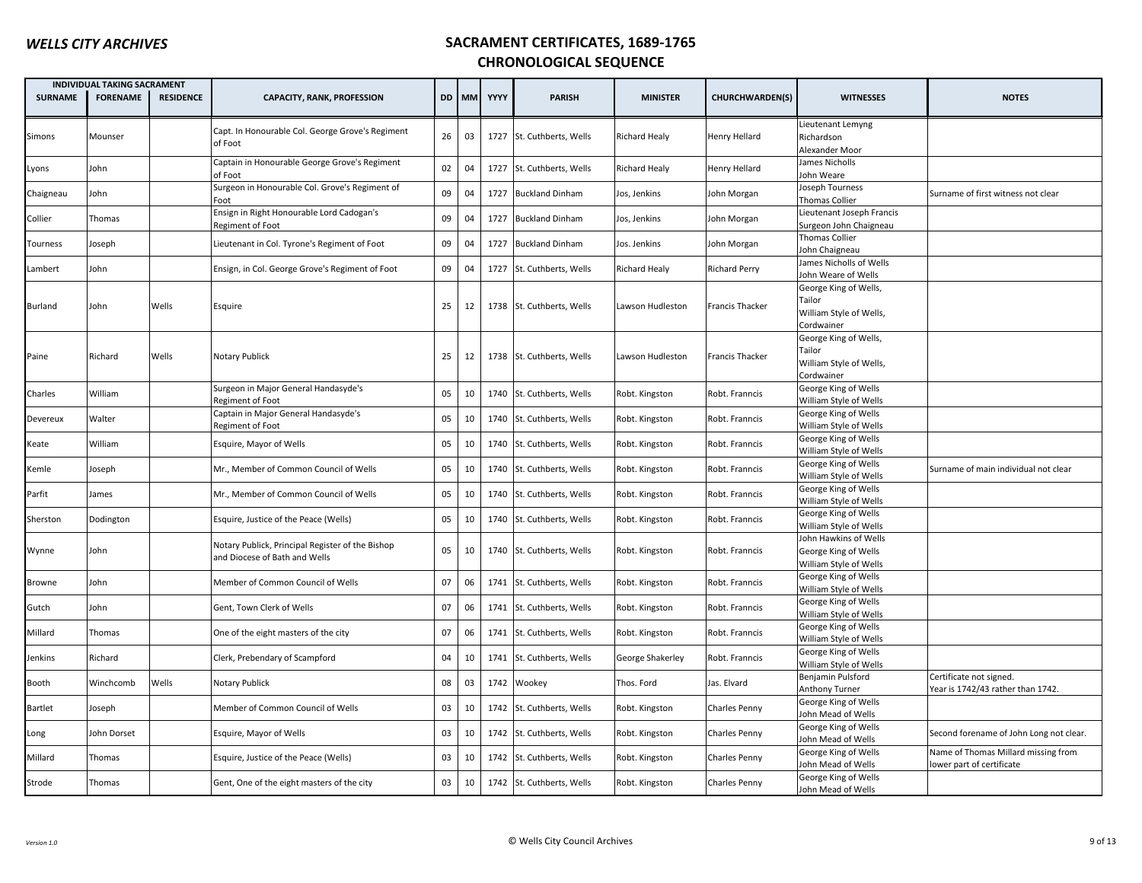|                | <b>INDIVIDUAL TAKING SACRAMENT</b> |                  |                                                                                   |    |    |            |                           |                  |                        |                                                                          |                                                                  |
|----------------|------------------------------------|------------------|-----------------------------------------------------------------------------------|----|----|------------|---------------------------|------------------|------------------------|--------------------------------------------------------------------------|------------------------------------------------------------------|
| <b>SURNAME</b> | <b>FORENAME</b>                    | <b>RESIDENCE</b> | <b>CAPACITY, RANK, PROFESSION</b>                                                 |    |    | DD MM YYYY | <b>PARISH</b>             | <b>MINISTER</b>  | CHURCHWARDEN(S)        | <b>WITNESSES</b>                                                         | <b>NOTES</b>                                                     |
| Simons         | Mounser                            |                  | Capt. In Honourable Col. George Grove's Regiment<br>of Foot                       | 26 | 03 |            | 1727 St. Cuthberts, Wells | Richard Healy    | Henry Hellard          | Lieutenant Lemyng<br>Richardson<br>Alexander Moor                        |                                                                  |
| Lyons          | John                               |                  | Captain in Honourable George Grove's Regiment<br>of Foot                          | 02 | 04 |            | 1727 St. Cuthberts, Wells | Richard Healy    | <b>Henry Hellard</b>   | James Nicholls<br>John Weare                                             |                                                                  |
| Chaigneau      | John                               |                  | Surgeon in Honourable Col. Grove's Regiment of<br>Foot                            | 09 | 04 | 1727       | <b>Buckland Dinham</b>    | Jos, Jenkins     | John Morgan            | Joseph Tourness<br>Thomas Collier                                        | Surname of first witness not clear                               |
| Collier        | Thomas                             |                  | Ensign in Right Honourable Lord Cadogan's<br>Regiment of Foot                     | 09 | 04 | 1727       | <b>Buckland Dinham</b>    | Jos, Jenkins     | John Morgan            | Lieutenant Joseph Francis<br>Surgeon John Chaigneau                      |                                                                  |
| Tourness       | Joseph                             |                  | Lieutenant in Col. Tyrone's Regiment of Foot                                      | 09 | 04 | 1727       | <b>Buckland Dinham</b>    | Jos. Jenkins     | John Morgan            | Thomas Collier<br>John Chaigneau                                         |                                                                  |
| Lambert        | John                               |                  | Ensign, in Col. George Grove's Regiment of Foot                                   | 09 | 04 | 1727       | St. Cuthberts, Wells      | Richard Healy    | <b>Richard Perry</b>   | James Nicholls of Wells<br>John Weare of Wells                           |                                                                  |
| <b>Burland</b> | John                               | Wells            | Esquire                                                                           | 25 | 12 |            | 1738 St. Cuthberts, Wells | Lawson Hudleston | <b>Francis Thacker</b> | George King of Wells,<br>Tailor<br>William Style of Wells,<br>Cordwainer |                                                                  |
| Paine          | Richard                            | Wells            | <b>Notary Publick</b>                                                             | 25 | 12 |            | 1738 St. Cuthberts, Wells | Lawson Hudleston | <b>Francis Thacker</b> | George King of Wells,<br>Tailor<br>William Style of Wells,<br>Cordwainer |                                                                  |
| Charles        | William                            |                  | Surgeon in Major General Handasyde's<br>Regiment of Foot                          | 05 | 10 |            | 1740 St. Cuthberts, Wells | Robt. Kingston   | Robt. Franncis         | George King of Wells<br>William Style of Wells                           |                                                                  |
| Devereux       | Walter                             |                  | Captain in Major General Handasyde's<br>Regiment of Foot                          | 05 | 10 |            | 1740 St. Cuthberts, Wells | Robt. Kingston   | Robt. Franncis         | George King of Wells<br>William Style of Wells                           |                                                                  |
| Keate          | William                            |                  | Esquire, Mayor of Wells                                                           | 05 | 10 |            | 1740 St. Cuthberts, Wells | Robt. Kingston   | Robt. Franncis         | George King of Wells<br>William Style of Wells                           |                                                                  |
| Kemle          | Joseph                             |                  | Mr., Member of Common Council of Wells                                            | 05 | 10 |            | 1740 St. Cuthberts, Wells | Robt. Kingston   | Robt. Franncis         | George King of Wells<br>William Style of Wells                           | Surname of main individual not clear                             |
| Parfit         | James                              |                  | Mr., Member of Common Council of Wells                                            | 05 | 10 |            | 1740 St. Cuthberts, Wells | Robt. Kingston   | Robt. Franncis         | George King of Wells<br>William Style of Wells                           |                                                                  |
| Sherston       | Dodington                          |                  | Esquire, Justice of the Peace (Wells)                                             | 05 | 10 |            | 1740 St. Cuthberts, Wells | Robt. Kingston   | Robt. Franncis         | George King of Wells<br>William Style of Wells                           |                                                                  |
| Wynne          | John                               |                  | Notary Publick, Principal Register of the Bishop<br>and Diocese of Bath and Wells | 05 | 10 |            | 1740 St. Cuthberts, Wells | Robt. Kingston   | Robt. Franncis         | John Hawkins of Wells<br>George King of Wells<br>William Style of Wells  |                                                                  |
| Browne         | John                               |                  | Member of Common Council of Wells                                                 | 07 | 06 |            | 1741 St. Cuthberts, Wells | Robt. Kingston   | Robt. Franncis         | George King of Wells<br>William Style of Wells                           |                                                                  |
| Gutch          | John                               |                  | Gent, Town Clerk of Wells                                                         | 07 | 06 | 1741       | St. Cuthberts, Wells      | Robt. Kingston   | Robt. Franncis         | George King of Wells<br>William Style of Wells                           |                                                                  |
| Millard        | Thomas                             |                  | One of the eight masters of the city                                              | 07 | 06 | 1741       | St. Cuthberts, Wells      | Robt. Kingston   | Robt. Franncis         | George King of Wells<br>William Style of Wells                           |                                                                  |
| Jenkins        | Richard                            |                  | Clerk, Prebendary of Scampford                                                    | 04 | 10 |            | 1741 St. Cuthberts, Wells | George Shakerley | Robt. Franncis         | George King of Wells<br>William Style of Wells                           |                                                                  |
| Booth          | Winchcomb                          | Wells            | Notary Publick                                                                    | 08 | 03 | 1742       | Wookey                    | Thos. Ford       | Jas. Elvard            | Benjamin Pulsford<br><b>Anthony Turner</b>                               | Certificate not signed.<br>Year is 1742/43 rather than 1742.     |
| Bartlet        | Joseph                             |                  | Member of Common Council of Wells                                                 | 03 | 10 | 1742       | St. Cuthberts, Wells      | Robt. Kingston   | <b>Charles Penny</b>   | George King of Wells<br>John Mead of Wells                               |                                                                  |
| Long           | John Dorset                        |                  | Esquire, Mayor of Wells                                                           | 03 | 10 | 1742       | St. Cuthberts, Wells      | Robt. Kingston   | Charles Penny          | George King of Wells<br>John Mead of Wells                               | Second forename of John Long not clear.                          |
| Millard        | Thomas                             |                  | Esquire, Justice of the Peace (Wells)                                             | 03 | 10 |            | 1742 St. Cuthberts, Wells | Robt. Kingston   | Charles Penny          | George King of Wells<br>John Mead of Wells                               | Name of Thomas Millard missing from<br>lower part of certificate |
| Strode         | Thomas                             |                  | Gent, One of the eight masters of the city                                        | 03 | 10 |            | 1742 St. Cuthberts, Wells | Robt. Kingston   | Charles Penny          | George King of Wells<br>John Mead of Wells                               |                                                                  |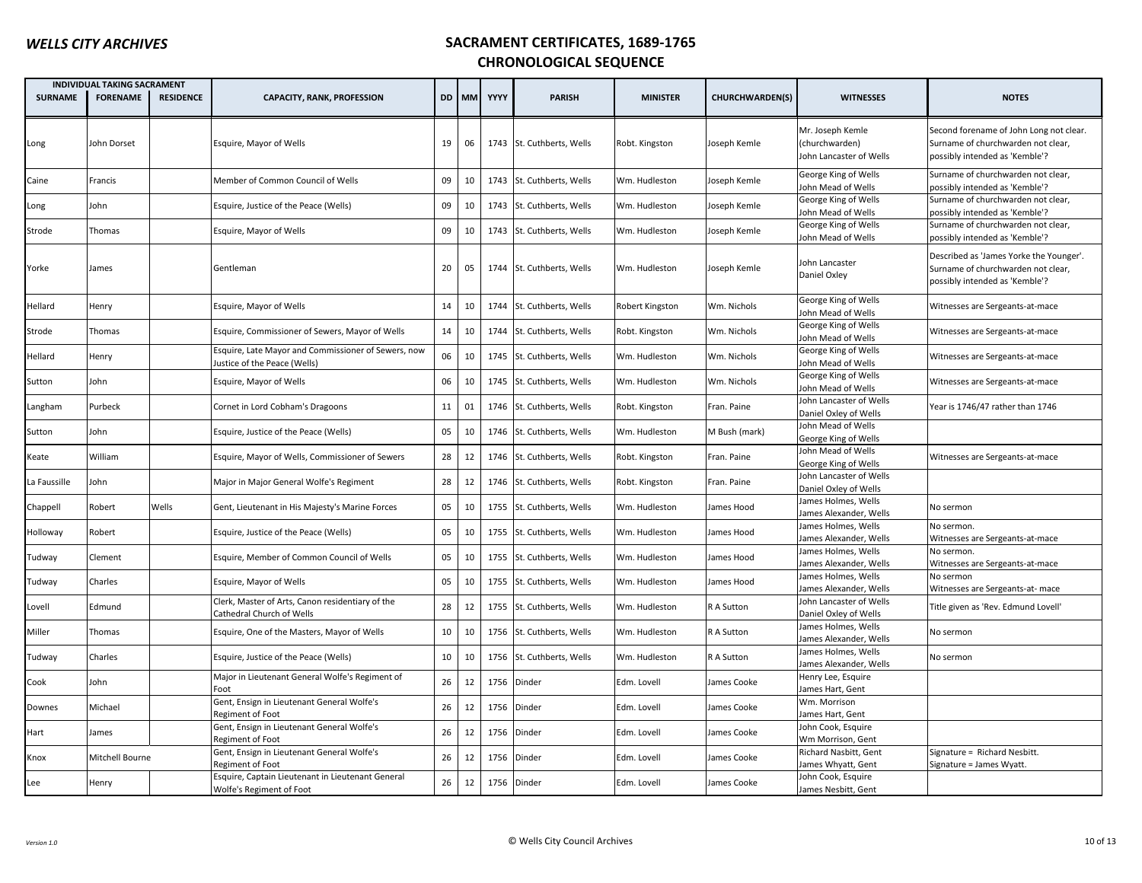|                | <b>INDIVIDUAL TAKING SACRAMENT</b> |                  |                                                                                     |    |       |      |                           |                 |                        |                                                               |                                                                                                                 |
|----------------|------------------------------------|------------------|-------------------------------------------------------------------------------------|----|-------|------|---------------------------|-----------------|------------------------|---------------------------------------------------------------|-----------------------------------------------------------------------------------------------------------------|
| <b>SURNAME</b> | <b>FORENAME</b>                    | <b>RESIDENCE</b> | <b>CAPACITY, RANK, PROFESSION</b>                                                   |    | DD MM | YYYY | <b>PARISH</b>             | <b>MINISTER</b> | <b>CHURCHWARDEN(S)</b> | <b>WITNESSES</b>                                              | <b>NOTES</b>                                                                                                    |
| Long           | John Dorset                        |                  | Esquire, Mayor of Wells                                                             | 19 | 06    |      | 1743 St. Cuthberts, Wells | Robt. Kingston  | Joseph Kemle           | Mr. Joseph Kemle<br>(churchwarden)<br>John Lancaster of Wells | Second forename of John Long not clear.<br>Surname of churchwarden not clear,<br>possibly intended as 'Kemble'? |
| Caine          | Francis                            |                  | Member of Common Council of Wells                                                   | 09 | 10    | 1743 | St. Cuthberts, Wells      | Wm. Hudleston   | Joseph Kemle           | George King of Wells<br>Iohn Mead of Wells                    | Surname of churchwarden not clear,<br>possibly intended as 'Kemble'?                                            |
| Long           | John                               |                  | Esquire, Justice of the Peace (Wells)                                               | 09 | 10    |      | 1743 St. Cuthberts, Wells | Wm. Hudleston   | Joseph Kemle           | George King of Wells<br>ohn Mead of Wells                     | Surname of churchwarden not clear,<br>possibly intended as 'Kemble'?                                            |
| Strode         | Thomas                             |                  | Esquire, Mayor of Wells                                                             | 09 | 10    |      | 1743 St. Cuthberts, Wells | Wm. Hudleston   | Joseph Kemle           | George King of Wells<br>ohn Mead of Wells                     | Surname of churchwarden not clear,<br>possibly intended as 'Kemble'?                                            |
| Yorke          | James                              |                  | Gentleman                                                                           | 20 | 05    |      | 1744 St. Cuthberts, Wells | Wm. Hudleston   | Joseph Kemle           | Iohn Lancaster<br>Daniel Oxley                                | Described as 'James Yorke the Younger'.<br>Surname of churchwarden not clear,<br>possibly intended as 'Kemble'? |
| Hellard        | Henry                              |                  | Esquire, Mayor of Wells                                                             | 14 | 10    |      | 1744 St. Cuthberts, Wells | Robert Kingston | Wm. Nichols            | George King of Wells<br>ohn Mead of Wells                     | Witnesses are Sergeants-at-mace                                                                                 |
| Strode         | Thomas                             |                  | Esquire, Commissioner of Sewers, Mayor of Wells                                     | 14 | 10    |      | 1744 St. Cuthberts, Wells | Robt. Kingston  | Wm. Nichols            | George King of Wells<br>ohn Mead of Wells                     | Witnesses are Sergeants-at-mace                                                                                 |
| Hellard        | Henry                              |                  | Esquire, Late Mayor and Commissioner of Sewers, now<br>lustice of the Peace (Wells) | 06 | 10    | 1745 | St. Cuthberts, Wells      | Wm. Hudleston   | Wm. Nichols            | George King of Wells<br>ohn Mead of Wells                     | Witnesses are Sergeants-at-mace                                                                                 |
| Sutton         | John                               |                  | Esquire, Mayor of Wells                                                             | 06 | 10    | 1745 | St. Cuthberts, Wells      | Wm. Hudleston   | Wm. Nichols            | George King of Wells<br>ohn Mead of Wells                     | Witnesses are Sergeants-at-mace                                                                                 |
| Langham        | Purbeck                            |                  | Cornet in Lord Cobham's Dragoons                                                    | 11 | 01    | 1746 | St. Cuthberts, Wells      | Robt. Kingston  | Fran. Paine            | ohn Lancaster of Wells<br>Daniel Oxley of Wells               | Year is 1746/47 rather than 1746                                                                                |
| Sutton         | John                               |                  | Esquire, Justice of the Peace (Wells)                                               | 05 | 10    |      | 1746 St. Cuthberts, Wells | Wm. Hudleston   | M Bush (mark)          | John Mead of Wells<br>George King of Wells                    |                                                                                                                 |
| Keate          | William                            |                  | Esquire, Mayor of Wells, Commissioner of Sewers                                     | 28 | 12    |      | 1746 St. Cuthberts, Wells | Robt. Kingston  | Fran. Paine            | ohn Mead of Wells<br>George King of Wells                     | Witnesses are Sergeants-at-mace                                                                                 |
| La Faussille   | Iohn                               |                  | Major in Major General Wolfe's Regiment                                             | 28 | 12    | 1746 | St. Cuthberts, Wells      | Robt. Kingston  | Fran. Paine            | ohn Lancaster of Wells<br>Daniel Oxley of Wells               |                                                                                                                 |
| Chappell       | Robert                             | Wells            | Gent, Lieutenant in His Majesty's Marine Forces                                     | 05 | 10    | 1755 | St. Cuthberts, Wells      | Wm. Hudleston   | James Hood             | lames Holmes, Wells<br>James Alexander, Wells                 | No sermon                                                                                                       |
| Holloway       | Robert                             |                  | Esquire, Justice of the Peace (Wells)                                               | 05 | 10    | 1755 | St. Cuthberts, Wells      | Wm. Hudleston   | James Hood             | lames Holmes, Wells<br>lames Alexander, Wells                 | No sermon.<br>Witnesses are Sergeants-at-mace                                                                   |
| Tudway         | Clement                            |                  | Esquire, Member of Common Council of Wells                                          | 05 | 10    |      | 1755 St. Cuthberts, Wells | Wm. Hudleston   | James Hood             | ames Holmes, Wells<br>lames Alexander, Wells                  | No sermon.<br>Witnesses are Sergeants-at-mace                                                                   |
| Tudway         | Charles                            |                  | Esquire, Mayor of Wells                                                             | 05 | 10    | 1755 | St. Cuthberts, Wells      | Wm. Hudleston   | James Hood             | ames Holmes, Wells<br>lames Alexander, Wells                  | No sermon<br>Witnesses are Sergeants-at-mace                                                                    |
| Lovell         | Edmund                             |                  | Clerk, Master of Arts, Canon residentiary of the<br>Cathedral Church of Wells       | 28 | 12    | 1755 | St. Cuthberts, Wells      | Wm. Hudleston   | R A Sutton             | ohn Lancaster of Wells<br>Daniel Oxley of Wells               | Title given as 'Rev. Edmund Lovell'                                                                             |
| Miller         | Thomas                             |                  | Esquire, One of the Masters, Mayor of Wells                                         | 10 | 10    | 1756 | St. Cuthberts, Wells      | Wm. Hudleston   | R A Sutton             | lames Holmes, Wells<br>lames Alexander, Wells                 | No sermon                                                                                                       |
| Tudway         | Charles                            |                  | Esquire, Justice of the Peace (Wells)                                               | 10 | 10    | 1756 | St. Cuthberts, Wells      | Wm. Hudleston   | R A Sutton             | ames Holmes, Wells<br>lames Alexander, Wells                  | No sermon                                                                                                       |
| Cook           | John                               |                  | Major in Lieutenant General Wolfe's Regiment of<br>Foot                             | 26 | 12    | 1756 | Dinder                    | Edm. Lovell     | James Cooke            | Henry Lee, Esquire<br>ames Hart, Gent                         |                                                                                                                 |
| Downes         | Michael                            |                  | Gent, Ensign in Lieutenant General Wolfe's<br>Regiment of Foot                      | 26 | 12    | 1756 | Dinder                    | Edm. Lovell     | James Cooke            | Wm. Morrison<br>ames Hart, Gent                               |                                                                                                                 |
| Hart           | lames                              |                  | Gent, Ensign in Lieutenant General Wolfe's<br>Regiment of Foot                      | 26 | 12    | 1756 | Dinder                    | Edm. Lovell     | James Cooke            | ohn Cook, Esquire<br>Wm Morrison, Gent                        |                                                                                                                 |
| Knox           | Mitchell Bourne                    |                  | Gent, Ensign in Lieutenant General Wolfe's<br>Regiment of Foot                      | 26 | 12    | 1756 | Dinder                    | Edm. Lovell     | James Cooke            | Richard Nasbitt, Gent<br>ames Whyatt, Gent                    | Signature = Richard Nesbitt.<br>Signature = James Wyatt.                                                        |
| Lee            | Henry                              |                  | Esquire, Captain Lieutenant in Lieutenant General<br>Wolfe's Regiment of Foot       | 26 | 12    |      | 1756 Dinder               | Edm. Lovell     | James Cooke            | Iohn Cook, Esquire<br>James Nesbitt, Gent                     |                                                                                                                 |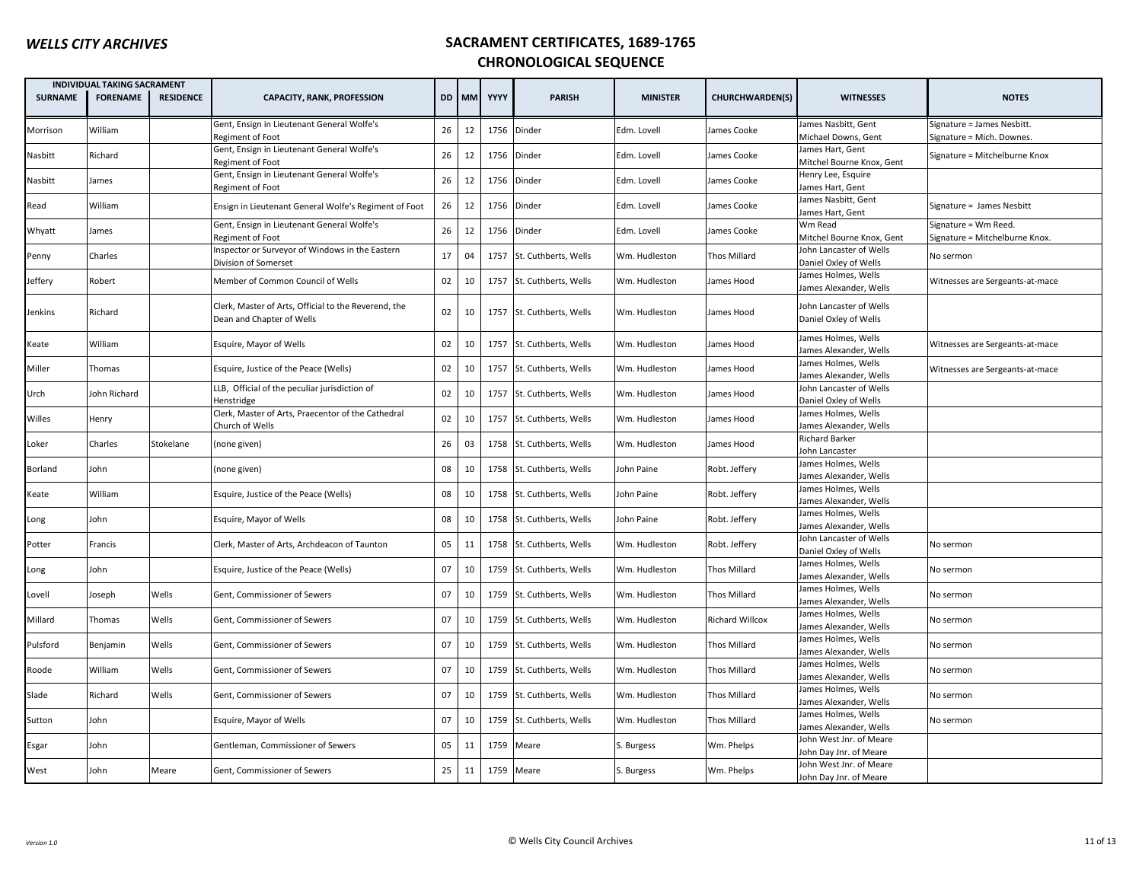|                | <b>INDIVIDUAL TAKING SACRAMENT</b> |                  |                                                                                   |           |    |         |                           |                 |                        |                                                   |                                                         |
|----------------|------------------------------------|------------------|-----------------------------------------------------------------------------------|-----------|----|---------|---------------------------|-----------------|------------------------|---------------------------------------------------|---------------------------------------------------------|
| <b>SURNAME</b> | <b>FORENAME</b>                    | <b>RESIDENCE</b> | <b>CAPACITY, RANK, PROFESSION</b>                                                 | <b>DD</b> |    | MM YYYY | <b>PARISH</b>             | <b>MINISTER</b> | <b>CHURCHWARDEN(S)</b> | <b>WITNESSES</b>                                  | <b>NOTES</b>                                            |
| Morrison       | William                            |                  | Gent, Ensign in Lieutenant General Wolfe's<br>Regiment of Foot                    | 26        | 12 |         | 1756 Dinder               | Edm. Lovell     | <b>James Cooke</b>     | James Nasbitt, Gent<br>Michael Downs, Gent        | Signature = James Nesbitt.<br>Signature = Mich. Downes. |
| Nasbitt        | Richard                            |                  | Gent, Ensign in Lieutenant General Wolfe's<br>Regiment of Foot                    | 26        | 12 |         | 1756 Dinder               | Edm. Lovell     | James Cooke            | James Hart, Gent<br>Mitchel Bourne Knox, Gent     | Signature = Mitchelburne Knox                           |
| Nasbitt        | James                              |                  | Gent, Ensign in Lieutenant General Wolfe's<br>Regiment of Foot                    | 26        | 12 |         | 1756 Dinder               | Edm. Lovell     | James Cooke            | Henry Lee, Esquire<br>James Hart, Gent            |                                                         |
| Read           | William                            |                  | Ensign in Lieutenant General Wolfe's Regiment of Foot                             | 26        | 12 |         | 1756 Dinder               | Edm. Lovell     | <b>James Cooke</b>     | James Nasbitt, Gent<br>James Hart, Gent           | Signature = James Nesbitt                               |
| Whyatt         | James                              |                  | Gent, Ensign in Lieutenant General Wolfe's<br>Regiment of Foot                    | 26        | 12 |         | 1756 Dinder               | Edm. Lovell     | James Cooke            | Wm Read<br>Mitchel Bourne Knox, Gent              | Signature = Wm Reed.<br>Signature = Mitchelburne Knox.  |
| Penny          | Charles                            |                  | Inspector or Surveyor of Windows in the Eastern<br>Division of Somerset           | 17        | 04 | 1757    | St. Cuthberts, Wells      | Wm. Hudleston   | Thos Millard           | John Lancaster of Wells<br>Daniel Oxley of Wells  | No sermon                                               |
| Jeffery        | Robert                             |                  | Member of Common Council of Wells                                                 | 02        | 10 |         | 1757 St. Cuthberts, Wells | Wm. Hudleston   | James Hood             | James Holmes, Wells<br>James Alexander, Wells     | Witnesses are Sergeants-at-mace                         |
| Jenkins        | Richard                            |                  | Clerk, Master of Arts, Official to the Reverend, the<br>Dean and Chapter of Wells | 02        | 10 |         | 1757 St. Cuthberts, Wells | Wm. Hudleston   | James Hood             | John Lancaster of Wells<br>Daniel Oxley of Wells  |                                                         |
| Keate          | William                            |                  | Esquire, Mayor of Wells                                                           | 02        | 10 |         | 1757 St. Cuthberts, Wells | Wm. Hudleston   | lames Hood             | James Holmes, Wells<br>James Alexander, Wells     | Witnesses are Sergeants-at-mace                         |
| Miller         | Thomas                             |                  | Esquire, Justice of the Peace (Wells)                                             | 02        | 10 |         | 1757 St. Cuthberts, Wells | Wm. Hudleston   | lames Hood             | James Holmes, Wells<br>James Alexander, Wells     | Witnesses are Sergeants-at-mace                         |
| Urch           | John Richard                       |                  | LLB, Official of the peculiar jurisdiction of<br>Henstridge                       | 02        | 10 |         | 1757 St. Cuthberts, Wells | Wm. Hudleston   | lames Hood             | John Lancaster of Wells<br>Daniel Oxley of Wells  |                                                         |
| Willes         | Henry                              |                  | Clerk, Master of Arts, Praecentor of the Cathedral<br>Church of Wells             | 02        | 10 |         | 1757 St. Cuthberts, Wells | Wm. Hudleston   | lames Hood             | James Holmes, Wells<br>James Alexander, Wells     |                                                         |
| Loker          | Charles                            | Stokelane        | (none given)                                                                      | 26        | 03 |         | 1758 St. Cuthberts, Wells | Wm. Hudleston   | lames Hood             | <b>Richard Barker</b><br>John Lancaster           |                                                         |
| Borland        | John                               |                  | (none given)                                                                      | 08        | 10 |         | 1758 St. Cuthberts, Wells | John Paine      | Robt. Jeffery          | James Holmes, Wells<br>James Alexander, Wells     |                                                         |
| Keate          | William                            |                  | Esquire, Justice of the Peace (Wells)                                             | 08        | 10 |         | 1758 St. Cuthberts, Wells | John Paine      | Robt. Jeffery          | James Holmes, Wells<br>James Alexander, Wells     |                                                         |
| Long           | John                               |                  | Esquire, Mayor of Wells                                                           | 08        | 10 |         | 1758 St. Cuthberts, Wells | John Paine      | Robt. Jeffery          | James Holmes, Wells<br>James Alexander, Wells     |                                                         |
| Potter         | Francis                            |                  | Clerk, Master of Arts, Archdeacon of Taunton                                      | 05        | 11 |         | 1758 St. Cuthberts, Wells | Wm. Hudleston   | Robt. Jeffery          | John Lancaster of Wells<br>Daniel Oxley of Wells  | No sermon                                               |
| Long           | John                               |                  | Esquire, Justice of the Peace (Wells)                                             | 07        | 10 |         | 1759 St. Cuthberts, Wells | Wm. Hudleston   | Thos Millard           | James Holmes, Wells<br>James Alexander, Wells     | No sermon                                               |
| Lovell         | Joseph                             | Wells            | Gent, Commissioner of Sewers                                                      | 07        | 10 |         | 1759 St. Cuthberts, Wells | Wm. Hudleston   | Thos Millard           | James Holmes, Wells<br>James Alexander, Wells     | No sermon                                               |
| Millard        | Thomas                             | Wells            | Gent, Commissioner of Sewers                                                      | 07        | 10 |         | 1759 St. Cuthberts, Wells | Wm. Hudleston   | <b>Richard Willcox</b> | James Holmes, Wells<br>James Alexander, Wells     | No sermon                                               |
| Pulsford       | Benjamin                           | Wells            | Gent, Commissioner of Sewers                                                      | 07        | 10 |         | 1759 St. Cuthberts, Wells | Wm. Hudleston   | Thos Millard           | James Holmes, Wells<br>James Alexander, Wells     | No sermon                                               |
| Roode          | William                            | Wells            | Gent, Commissioner of Sewers                                                      | 07        | 10 |         | 1759 St. Cuthberts, Wells | Wm. Hudleston   | Thos Millard           | James Holmes, Wells<br>James Alexander, Wells     | No sermon                                               |
| Slade          | Richard                            | Wells            | Gent, Commissioner of Sewers                                                      | 07        | 10 |         | 1759 St. Cuthberts, Wells | Wm. Hudleston   | Thos Millard           | James Holmes, Wells<br>James Alexander, Wells     | No sermon                                               |
| Sutton         | John                               |                  | Esquire, Mayor of Wells                                                           | 07        | 10 |         | 1759 St. Cuthberts, Wells | Wm. Hudleston   | Thos Millard           | James Holmes, Wells<br>James Alexander, Wells     | No sermon                                               |
| Esgar          | John                               |                  | Gentleman, Commissioner of Sewers                                                 | 05        | 11 |         | 1759 Meare                | S. Burgess      | Wm. Phelps             | John West Jnr. of Meare<br>John Day Jnr. of Meare |                                                         |
| West           | John                               | Meare            | Gent, Commissioner of Sewers                                                      | 25        | 11 |         | 1759 Meare                | S. Burgess      | Wm. Phelps             | John West Jnr. of Meare<br>John Day Jnr. of Meare |                                                         |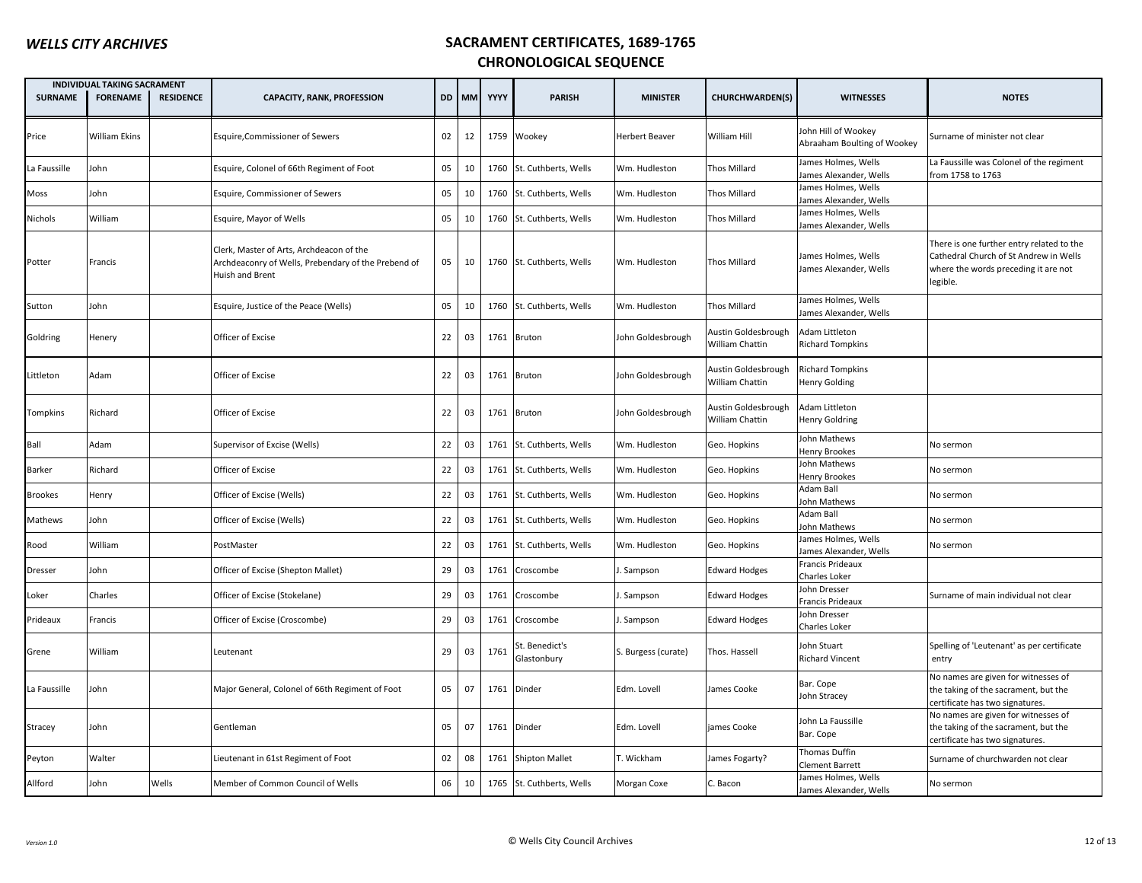|                | INDIVIDUAL TAKING SACRAMENT |                  |                                                                                                                    |    |       |      |                               |                       |                                        |                                                    |                                                                                                                                         |
|----------------|-----------------------------|------------------|--------------------------------------------------------------------------------------------------------------------|----|-------|------|-------------------------------|-----------------------|----------------------------------------|----------------------------------------------------|-----------------------------------------------------------------------------------------------------------------------------------------|
| <b>SURNAME</b> | <b>FORENAME</b>             | <b>RESIDENCE</b> | <b>CAPACITY, RANK, PROFESSION</b>                                                                                  |    | DD MM | YYYY | <b>PARISH</b>                 | <b>MINISTER</b>       | <b>CHURCHWARDEN(S)</b>                 | <b>WITNESSES</b>                                   | <b>NOTES</b>                                                                                                                            |
| Price          | William Ekins               |                  | <b>Esquire, Commissioner of Sewers</b>                                                                             | 02 | 12    |      | 1759 Wookey                   | <b>Herbert Beaver</b> | William Hill                           | John Hill of Wookey<br>Abraaham Boulting of Wookey | Surname of minister not clear                                                                                                           |
| La Faussille   | John                        |                  | Esquire, Colonel of 66th Regiment of Foot                                                                          | 05 | 10    |      | 1760 St. Cuthberts, Wells     | Wm. Hudleston         | <b>Thos Millard</b>                    | James Holmes, Wells<br>James Alexander, Wells      | La Faussille was Colonel of the regiment<br>from 1758 to 1763                                                                           |
| Moss           | John                        |                  | Esquire, Commissioner of Sewers                                                                                    | 05 | 10    |      | 1760 St. Cuthberts, Wells     | Wm. Hudleston         | Thos Millard                           | James Holmes, Wells<br>James Alexander, Wells      |                                                                                                                                         |
| Nichols        | William                     |                  | Esquire, Mayor of Wells                                                                                            | 05 | 10    |      | 1760 St. Cuthberts, Wells     | Wm. Hudleston         | <b>Thos Millard</b>                    | James Holmes, Wells<br>James Alexander, Wells      |                                                                                                                                         |
| Potter         | Francis                     |                  | Clerk, Master of Arts, Archdeacon of the<br>Archdeaconry of Wells, Prebendary of the Prebend of<br>Huish and Brent | 05 | 10    |      | 1760 St. Cuthberts, Wells     | Wm. Hudleston         | <b>Thos Millard</b>                    | James Holmes, Wells<br>James Alexander, Wells      | There is one further entry related to the<br>Cathedral Church of St Andrew in Wells<br>where the words preceding it are not<br>legible. |
| Sutton         | John                        |                  | Esquire, Justice of the Peace (Wells)                                                                              | 05 | 10    |      | 1760 St. Cuthberts, Wells     | Wm. Hudleston         | Thos Millard                           | James Holmes, Wells<br>James Alexander, Wells      |                                                                                                                                         |
| Goldring       | Henery                      |                  | Officer of Excise                                                                                                  | 22 | 03    |      | 1761 Bruton                   | John Goldesbrough     | Austin Goldesbrough<br>William Chattin | Adam Littleton<br><b>Richard Tompkins</b>          |                                                                                                                                         |
| Littleton      | Adam                        |                  | Officer of Excise                                                                                                  | 22 | 03    |      | 1761 Bruton                   | John Goldesbrough     | Austin Goldesbrough<br>William Chattin | <b>Richard Tompkins</b><br>Henry Golding           |                                                                                                                                         |
| Tompkins       | Richard                     |                  | Officer of Excise                                                                                                  | 22 | 03    |      | 1761 Bruton                   | John Goldesbrough     | Austin Goldesbrough<br>William Chattin | Adam Littleton<br>Henry Goldring                   |                                                                                                                                         |
| Ball           | Adam                        |                  | Supervisor of Excise (Wells)                                                                                       | 22 | 03    |      | 1761 St. Cuthberts, Wells     | Wm. Hudleston         | Geo. Hopkins                           | John Mathews<br><b>Henry Brookes</b>               | No sermon                                                                                                                               |
| Barker         | Richard                     |                  | Officer of Excise                                                                                                  | 22 | 03    |      | 1761 St. Cuthberts, Wells     | Wm. Hudleston         | Geo. Hopkins                           | John Mathews<br>Henry Brookes                      | No sermon                                                                                                                               |
| Brookes        | Henry                       |                  | Officer of Excise (Wells)                                                                                          | 22 | 03    |      | 1761 St. Cuthberts, Wells     | Wm. Hudleston         | Geo. Hopkins                           | Adam Ball<br>John Mathews                          | No sermon                                                                                                                               |
| Mathews        | John                        |                  | Officer of Excise (Wells)                                                                                          | 22 | 03    |      | 1761 St. Cuthberts, Wells     | Wm. Hudleston         | Geo. Hopkins                           | Adam Ball<br>John Mathews                          | No sermon                                                                                                                               |
| Rood           | William                     |                  | PostMaster                                                                                                         | 22 | 03    | 1761 | St. Cuthberts, Wells          | Wm. Hudleston         | Geo. Hopkins                           | James Holmes, Wells<br>James Alexander, Wells      | No sermon                                                                                                                               |
| Dresser        | John                        |                  | Officer of Excise (Shepton Mallet)                                                                                 | 29 | 03    | 1761 | Croscombe                     | I. Sampson            | <b>Edward Hodges</b>                   | Francis Prideaux<br>Charles Loker                  |                                                                                                                                         |
| Loker          | Charles                     |                  | Officer of Excise (Stokelane)                                                                                      | 29 | 03    | 1761 | Croscombe                     | I. Sampson            | <b>Edward Hodges</b>                   | John Dresser<br>Francis Prideaux                   | Surname of main individual not clear                                                                                                    |
| Prideaux       | Francis                     |                  | Officer of Excise (Croscombe)                                                                                      | 29 | 03    | 1761 | Croscombe                     | J. Sampson            | <b>Edward Hodges</b>                   | John Dresser<br>Charles Loker                      |                                                                                                                                         |
| Grene          | William                     |                  | Leutenant                                                                                                          | 29 | 03    | 1761 | st. Benedict's<br>Glastonbury | S. Burgess (curate)   | Thos. Hassell                          | John Stuart<br><b>Richard Vincent</b>              | Spelling of 'Leutenant' as per certificate<br>entry                                                                                     |
| La Faussille   | John                        |                  | Major General, Colonel of 66th Regiment of Foot                                                                    | 05 | 07    | 1761 | Dinder                        | Edm. Lovell           | James Cooke                            | Bar. Cope<br>John Stracey                          | No names are given for witnesses of<br>the taking of the sacrament, but the<br>certificate has two signatures.                          |
| Stracey        | John                        |                  | Gentleman                                                                                                          | 05 | 07    |      | 1761 Dinder                   | Edm. Lovell           | james Cooke                            | John La Faussille<br>Bar. Cope                     | No names are given for witnesses of<br>the taking of the sacrament, but the<br>certificate has two signatures.                          |
| Peyton         | Walter                      |                  | Lieutenant in 61st Regiment of Foot                                                                                | 02 | 08    |      | 1761 Shipton Mallet           | T. Wickham            | James Fogarty?                         | Thomas Duffin<br><b>Clement Barrett</b>            | Surname of churchwarden not clear                                                                                                       |
| Allford        | John                        | Wells            | Member of Common Council of Wells                                                                                  | 06 | 10    |      | 1765 St. Cuthberts, Wells     | Morgan Coxe           | C. Bacon                               | James Holmes, Wells<br>James Alexander, Wells      | No sermon                                                                                                                               |